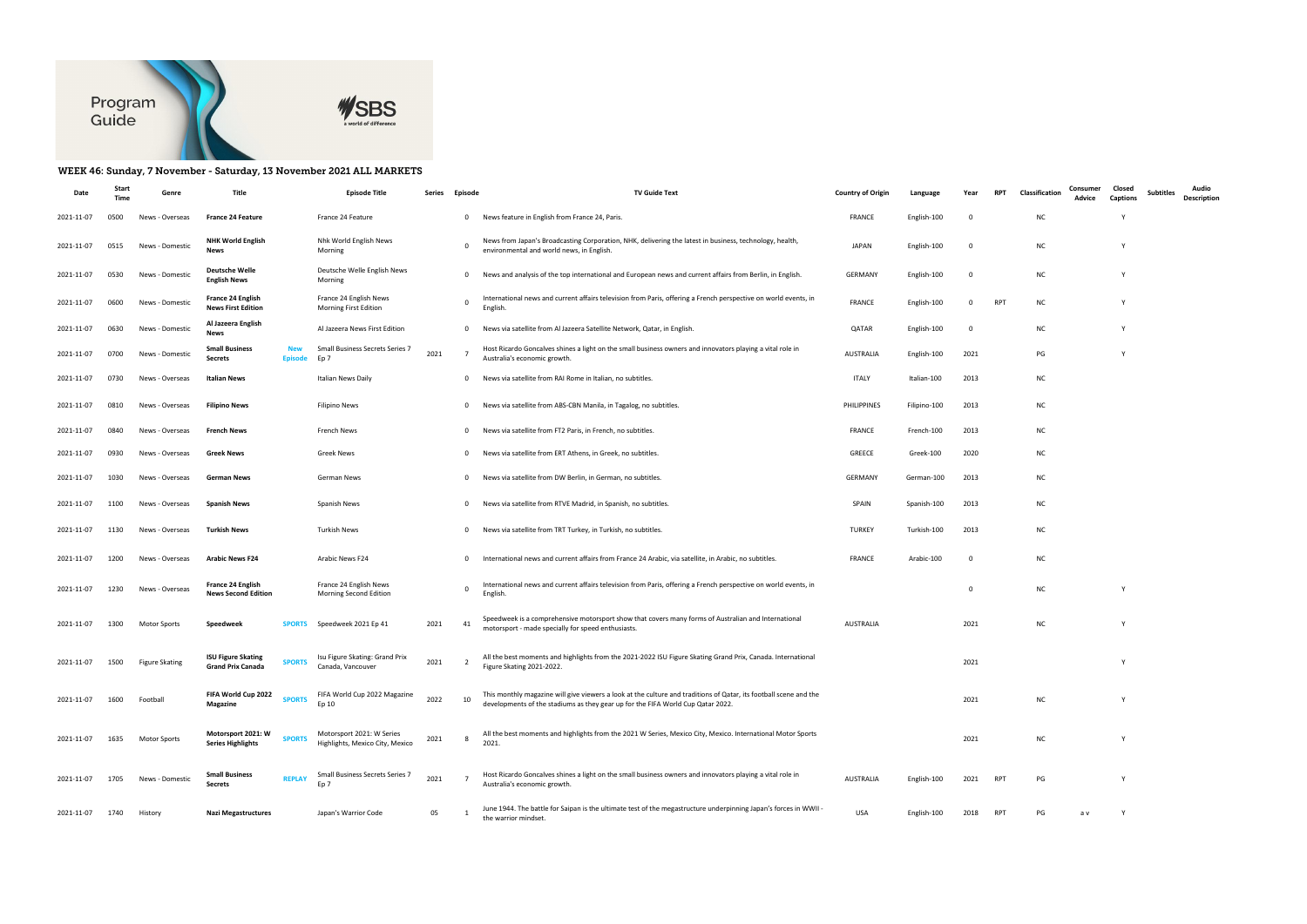

## WEEK 46: Sunday, 7 November - Saturday, 13 November 2021 ALL MARKETS

|            |      | Genre                 |                                                                        | <b>Episode Title</b>                                         | Series | Episode        | <b>TV Guide Text</b>                                                                                                                                                                                 | <b>Country of Origir</b> | Language     |      |            | Classification | Consumer<br>Advice | Closed<br>Captions | <b>Subtitles</b> | Audio<br>Description |
|------------|------|-----------------------|------------------------------------------------------------------------|--------------------------------------------------------------|--------|----------------|------------------------------------------------------------------------------------------------------------------------------------------------------------------------------------------------------|--------------------------|--------------|------|------------|----------------|--------------------|--------------------|------------------|----------------------|
| 2021-11-07 | 0500 | News - Overseas       | <b>France 24 Feature</b>                                               | France 24 Feature                                            |        | $\mathbf{0}$   | News feature in English from France 24, Paris.                                                                                                                                                       | FRANCE                   | English-100  | - 0  |            | <b>NC</b>      |                    |                    |                  |                      |
| 2021-11-07 | 0515 | News - Domestic       | <b>NHK World English</b><br>News                                       | Nhk World English News<br>Morning                            |        | 0              | News from Japan's Broadcasting Corporation, NHK, delivering the latest in business, technology, health,<br>environmental and world news, in English.                                                 | <b>JAPAN</b>             | English-100  | - 0  |            | <b>NC</b>      |                    |                    |                  |                      |
| 2021-11-07 | 0530 | News - Domestic       | <b>Deutsche Welle</b><br><b>English News</b>                           | Deutsche Welle English News<br>Morning                       |        | $\mathbf{0}$   | News and analysis of the top international and European news and current affairs from Berlin, in English.                                                                                            | GERMANY                  | English-100  | - 0  |            | <b>NC</b>      |                    |                    |                  |                      |
| 2021-11-07 | 0600 | News - Domestic       | France 24 English<br><b>News First Edition</b>                         | France 24 English News<br>Morning First Edition              |        | $\mathbf 0$    | International news and current affairs television from Paris, offering a French perspective on world events, in<br>English                                                                           | <b>FRANCE</b>            | English-100  | 0    | <b>RPT</b> | <b>NC</b>      |                    |                    |                  |                      |
| 2021-11-07 | 0630 | News - Domestic       | Al Jazeera English<br><b>News</b>                                      | Al Jazeera News First Edition                                |        | $^{\circ}$     | News via satellite from Al Jazeera Satellite Network, Qatar, in English.                                                                                                                             | QATAR                    | English-100  | -0   |            | <b>NC</b>      |                    |                    |                  |                      |
| 2021-11-07 | 0700 | News - Domestic       | <b>Small Business</b><br>Secrets<br>Episod                             | Small Business Secrets Series 7<br>Ep 7                      | 2021   | $\overline{7}$ | Host Ricardo Goncalves shines a light on the small business owners and innovators playing a vital role in<br>Australia's economic growth.                                                            | AUSTRALIA                | English-100  | 2021 |            | PG             |                    |                    |                  |                      |
| 2021-11-07 | 0730 | News - Overseas       | <b>Italian News</b>                                                    | Italian News Daily                                           |        | 0              | News via satellite from RAI Rome in Italian, no subtitles.                                                                                                                                           | ITALY                    | Italian-100  | 2013 |            | <b>NC</b>      |                    |                    |                  |                      |
| 2021-11-07 | 0810 | News - Overseas       | <b>Filipino News</b>                                                   | <b>Filipino News</b>                                         |        | $\mathbf{0}$   | News via satellite from ABS-CBN Manila, in Tagalog, no subtitles.                                                                                                                                    | PHILIPPINES              | Filipino-100 | 2013 |            | <b>NC</b>      |                    |                    |                  |                      |
| 2021-11-07 | 0840 | News - Overseas       | French News                                                            | French News                                                  |        | 0              | News via satellite from FT2 Paris, in French, no subtitles.                                                                                                                                          | FRANCE                   | French-100   | 2013 |            | <b>NC</b>      |                    |                    |                  |                      |
| 2021-11-07 | 0930 | News - Overseas       | <b>Greek News</b>                                                      | <b>Greek News</b>                                            |        | $\mathbf{0}$   | News via satellite from ERT Athens, in Greek, no subtitles.                                                                                                                                          | GREECE                   | Greek-100    | 2020 |            | <b>NC</b>      |                    |                    |                  |                      |
| 2021-11-07 | 1030 | News - Overseas       | German News                                                            | German News                                                  |        | $^{\circ}$     | News via satellite from DW Berlin, in German, no subtitles.                                                                                                                                          | GERMANY                  | German-100   | 2013 |            | <b>NC</b>      |                    |                    |                  |                      |
| 2021-11-07 | 1100 | News - Overseas       | <b>Spanish News</b>                                                    | Spanish News                                                 |        | 0              | News via satellite from RTVE Madrid, in Spanish, no subtitles.                                                                                                                                       | SPAIN                    | Spanish-100  | 2013 |            | <b>NC</b>      |                    |                    |                  |                      |
| 2021-11-07 | 1130 | News - Overseas       | <b>Turkish News</b>                                                    | <b>Turkish News</b>                                          |        | 0              | News via satellite from TRT Turkey, in Turkish, no subtitles.                                                                                                                                        | <b>TURKEY</b>            | Turkish-100  | 2013 |            | <b>NC</b>      |                    |                    |                  |                      |
| 2021-11-07 | 1200 | News - Overseas       | <b>Arabic News F24</b>                                                 | Arabic News F24                                              |        | $\mathbf{0}$   | International news and current affairs from France 24 Arabic, via satellite, in Arabic, no subtitles.                                                                                                | <b>FRANCE</b>            | Arabic-100   | 0    |            | <b>NC</b>      |                    |                    |                  |                      |
| 2021-11-07 | 1230 | News - Overseas       | France 24 English<br><b>News Second Edition</b>                        | France 24 English News<br>Morning Second Edition             |        | $\mathbf 0$    | International news and current affairs television from Paris, offering a French perspective on world events, in<br>English.                                                                          |                          |              | 0    |            | <b>NC</b>      |                    |                    |                  |                      |
| 2021-11-07 | 1300 | <b>Motor Sports</b>   | <b>SPORTS</b><br>Speedweek                                             | Speedweek 2021 Ep 41                                         | 2021   | 41             | Speedweek is a comprehensive motorsport show that covers many forms of Australian and International<br>motorsport - made specially for speed enthusiasts.                                            | <b>AUSTRALIA</b>         |              | 2021 |            | <b>NC</b>      |                    |                    |                  |                      |
| 2021-11-07 | 1500 | <b>Figure Skating</b> | <b>ISU Figure Skating</b><br><b>SPORTS</b><br><b>Grand Prix Canada</b> | Isu Figure Skating: Grand Prix<br>Canada, Vancouver          | 2021   | $\overline{2}$ | All the best moments and highlights from the 2021-2022 ISU Figure Skating Grand Prix, Canada. International<br>Figure Skating 2021-2022.                                                             |                          |              | 2021 |            |                |                    |                    |                  |                      |
| 2021-11-07 | 1600 | Football              | FIFA World Cup 2022<br><b>SPORTS</b><br>Magazine                       | FIFA World Cup 2022 Magazine<br>Ep 10                        | 2022   | 10             | This monthly magazine will give viewers a look at the culture and traditions of Qatar, its football scene and the<br>developments of the stadiums as they gear up for the FIFA World Cup Qatar 2022. |                          |              | 2021 |            | <b>NC</b>      |                    |                    |                  |                      |
| 2021-11-07 | 1635 | <b>Motor Sports</b>   | Motorsport 2021: W<br><b>SPORTS</b><br><b>Series Highlights</b>        | Motorsport 2021: W Series<br>Highlights, Mexico City, Mexico | 2021   | 8              | All the best moments and highlights from the 2021 W Series, Mexico City, Mexico. International Motor Sports<br>2021.                                                                                 |                          |              | 2021 |            | <b>NC</b>      |                    |                    |                  |                      |
| 2021-11-07 | 1705 | News - Domestic       | <b>Small Business</b><br><b>REPLAY</b><br><b>Secrets</b>               | Small Business Secrets Series 7<br>Ep <sub>7</sub>           | 2021   | $\overline{7}$ | Host Ricardo Goncalves shines a light on the small business owners and innovators playing a vital role in<br>Australia's economic growth.                                                            | AUSTRALIA                | English-100  | 2021 | RPT        | PG             |                    |                    |                  |                      |
| 2021-11-07 | 1740 | History               | <b>Nazi Megastructures</b>                                             | Japan's Warrior Code                                         | 05     |                | June 1944. The battle for Saipan is the ultimate test of the megastructure underpinning Japan's forces in WWII<br>the warrior mindset.                                                               | USA                      | English-100  | 2018 | RPT        | PG             | a v                | Y                  |                  |                      |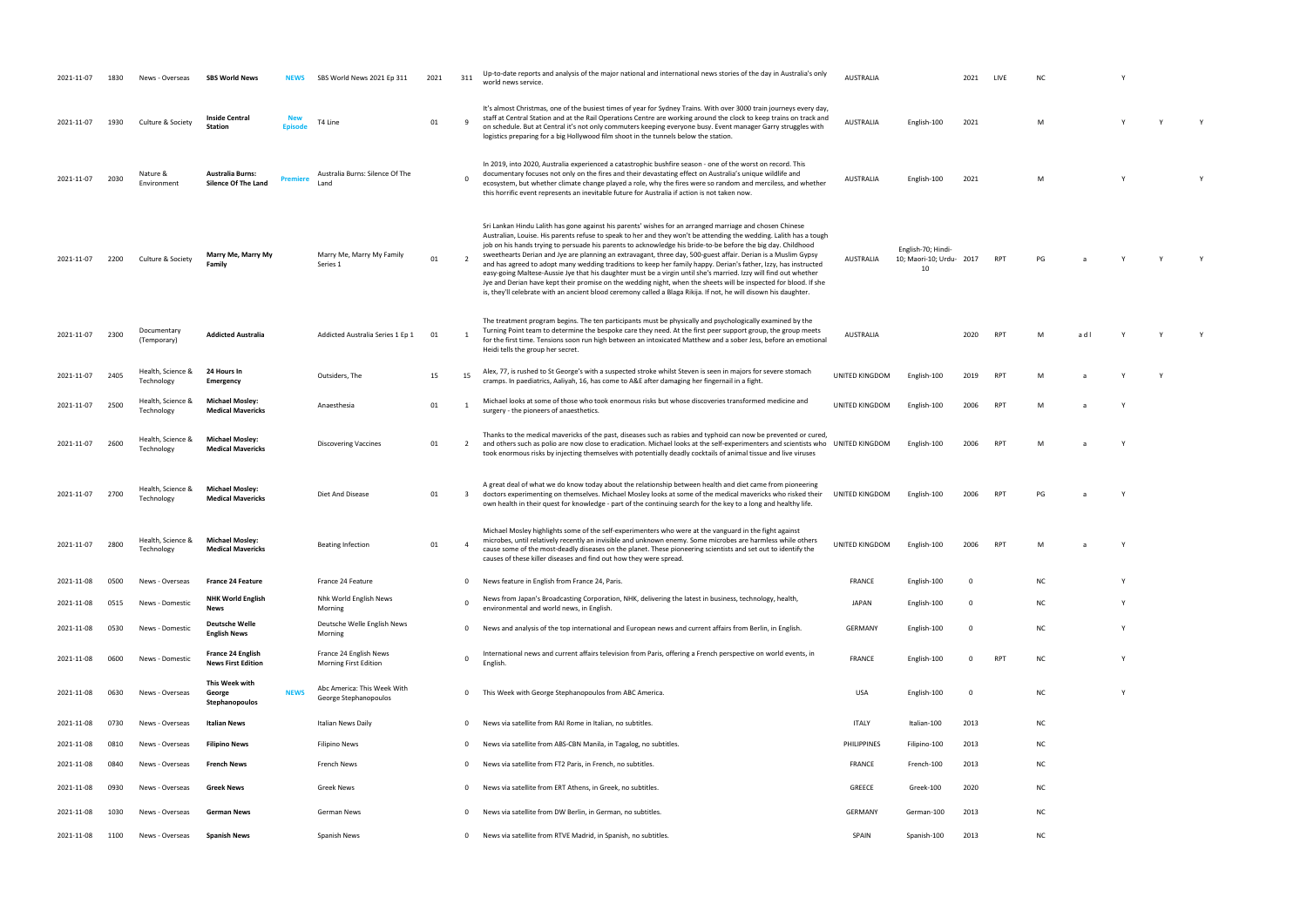| 2021-11-07 | 1830 | Versea) .                       | <b>SBS World News</b>                                 |             | SBS World News 2021 Ep 311                             | 2021 | 311                     | Up-to-date reports and analysis of the major national and international news stories of the day in Australia's only<br>world news service.                                                                                                                                                                                                                                                                                                                                                                                                                                                                                                                                                                                                                                                                                                                                                                                                     | <b>AUSTRALIA</b> |                                                      | 2021                    |            |           |     |          |  |
|------------|------|---------------------------------|-------------------------------------------------------|-------------|--------------------------------------------------------|------|-------------------------|------------------------------------------------------------------------------------------------------------------------------------------------------------------------------------------------------------------------------------------------------------------------------------------------------------------------------------------------------------------------------------------------------------------------------------------------------------------------------------------------------------------------------------------------------------------------------------------------------------------------------------------------------------------------------------------------------------------------------------------------------------------------------------------------------------------------------------------------------------------------------------------------------------------------------------------------|------------------|------------------------------------------------------|-------------------------|------------|-----------|-----|----------|--|
| 2021-11-07 | 1930 | Culture & Society               | <b>Inside Central</b><br><b>Station</b>               |             | T4 Line                                                | 01   |                         | It's almost Christmas, one of the busiest times of year for Sydney Trains. With over 3000 train journeys every day,<br>staff at Central Station and at the Rail Operations Centre are working around the clock to keep trains on track and<br>on schedule. But at Central it's not only commuters keeping everyone busy. Event manager Garry struggles with<br>logistics preparing for a big Hollywood film shoot in the tunnels below the station.                                                                                                                                                                                                                                                                                                                                                                                                                                                                                            | <b>AUSTRALIA</b> | English-100                                          | 2021                    |            | M         |     |          |  |
| 2021-11-07 | 2030 | Nature &<br>Environment         | <b>Australia Burns:</b><br>Silence Of The Land        | Premier     | Australia Burns: Silence Of The<br>Land                |      |                         | In 2019, into 2020, Australia experienced a catastrophic bushfire season - one of the worst on record. This<br>documentary focuses not only on the fires and their devastating effect on Australia's unique wildlife and<br>ecosystem, but whether climate change played a role, why the fires were so random and merciless, and whether<br>this horrific event represents an inevitable future for Australia if action is not taken now.                                                                                                                                                                                                                                                                                                                                                                                                                                                                                                      | AUSTRALIA        | English-100                                          | 2021                    |            | M         |     |          |  |
| 2021-11-07 | 2200 | Culture & Society               | Marry Me, Marry My<br>Family                          |             | Marry Me, Marry My Family<br>Series 1                  | 01   | $\overline{2}$          | Sri Lankan Hindu Lalith has gone against his parents' wishes for an arranged marriage and chosen Chinese<br>Australian, Louise. His parents refuse to speak to her and they won't be attending the wedding. Lalith has a tough<br>job on his hands trying to persuade his parents to acknowledge his bride-to-be before the big day. Childhood<br>sweethearts Derian and Jye are planning an extravagant, three day, 500-guest affair. Derian is a Muslim Gypsy<br>and has agreed to adopt many wedding traditions to keep her family happy. Derian's father, Izzy, has instructed<br>easy-going Maltese-Aussie Jye that his daughter must be a virgin until she's married. Izzy will find out whether<br>Jye and Derian have kept their promise on the wedding night, when the sheets will be inspected for blood. If she<br>is, they'll celebrate with an ancient blood ceremony called a Blaga Rikija. If not, he will disown his daughter. | AUSTRALIA        | English-70; Hindi-<br>10; Maori-10; Urdu- 2017<br>10 |                         | <b>RPT</b> | PG        |     |          |  |
| 2021-11-07 | 2300 | Documentary<br>(Temporary)      | <b>Addicted Australia</b>                             |             | Addicted Australia Series 1 Ep 1                       | 01   |                         | The treatment program begins. The ten participants must be physically and psychologically examined by the<br>Turning Point team to determine the bespoke care they need. At the first peer support group, the group meets<br>for the first time. Tensions soon run high between an intoxicated Matthew and a sober Jess, before an emotional<br>Heidi tells the group her secret.                                                                                                                                                                                                                                                                                                                                                                                                                                                                                                                                                              | AUSTRALIA        |                                                      | 2020                    |            |           | a d |          |  |
| 2021-11-07 | 2405 | Health, Science &<br>Technology | 24 Hours In<br>Emergency                              |             | Outsiders, The                                         | 15   | 15                      | Alex, 77, is rushed to St George's with a suspected stroke whilst Steven is seen in majors for severe stomach<br>cramps. In paediatrics, Aaliyah, 16, has come to A&E after damaging her fingernail in a fight.                                                                                                                                                                                                                                                                                                                                                                                                                                                                                                                                                                                                                                                                                                                                | UNITED KINGDOM   | English-100                                          | 2019                    | <b>RPT</b> |           |     |          |  |
| 2021-11-07 | 2500 | Health, Science &<br>Technology | <b>Michael Mosley:</b><br><b>Medical Mavericks</b>    |             | Anaesthesia                                            | 01   |                         | Michael looks at some of those who took enormous risks but whose discoveries transformed medicine and<br>surgery - the pioneers of anaesthetics.                                                                                                                                                                                                                                                                                                                                                                                                                                                                                                                                                                                                                                                                                                                                                                                               | UNITED KINGDOM   | English-100                                          | 2006                    | <b>RPT</b> |           |     |          |  |
| 2021-11-07 | 2600 | Health, Science &<br>Technology | <b>Michael Mosley:</b><br><b>Medical Mavericks</b>    |             | Discovering Vaccines                                   | 01   | $\overline{2}$          | Thanks to the medical mavericks of the past, diseases such as rabies and typhoid can now be prevented or cured,<br>and others such as polio are now close to eradication. Michael looks at the self-experimenters and scientists who UNITED KINGDOM<br>took enormous risks by injecting themselves with potentially deadly cocktails of animal tissue and live viruses                                                                                                                                                                                                                                                                                                                                                                                                                                                                                                                                                                         |                  | English-100                                          | 2006                    |            |           |     |          |  |
| 2021-11-07 | 2700 | Health, Science &<br>Technology | <b>Michael Mosley:</b><br><b>Medical Mavericks</b>    |             | Diet And Disease                                       | 01   | $\overline{\mathbf{3}}$ | A great deal of what we do know today about the relationship between health and diet came from pioneering<br>doctors experimenting on themselves. Michael Mosley looks at some of the medical mavericks who risked their<br>own health in their quest for knowledge - part of the continuing search for the key to a long and healthy life.                                                                                                                                                                                                                                                                                                                                                                                                                                                                                                                                                                                                    | UNITED KINGDOM   | English-100                                          |                         |            |           |     |          |  |
| 2021-11-07 | 2800 | Health, Science &<br>Technology | <b>Michael Mosley:</b><br><b>Medical Mavericks</b>    |             | <b>Beating Infection</b>                               | 01   |                         | Michael Mosley highlights some of the self-experimenters who were at the vanguard in the fight against<br>microbes, until relatively recently an invisible and unknown enemy. Some microbes are harmless while others<br>cause some of the most-deadly diseases on the planet. These pioneering scientists and set out to identify the<br>causes of these killer diseases and find out how they were spread.                                                                                                                                                                                                                                                                                                                                                                                                                                                                                                                                   | UNITED KINGDOM   | English-100                                          | 2006                    |            |           |     |          |  |
| 2021-11-08 | 0500 | News - Overseas                 | <b>France 24 Feature</b>                              |             | France 24 Feature                                      |      | 0                       | News feature in English from France 24, Paris.                                                                                                                                                                                                                                                                                                                                                                                                                                                                                                                                                                                                                                                                                                                                                                                                                                                                                                 | FRANCE           | English-100                                          | $\mathbf 0$             |            | ΝC        |     |          |  |
| 2021-11-08 | 0515 | News - Domestic                 | <b>NHK World English</b><br>News                      |             | Nhk World English News<br>Morning                      |      | $\Omega$                | News from Japan's Broadcasting Corporation, NHK, delivering the latest in business, technology, health,<br>environmental and world news, in English.                                                                                                                                                                                                                                                                                                                                                                                                                                                                                                                                                                                                                                                                                                                                                                                           | JAPAN            | English-100                                          | $\overline{0}$          |            | NC        |     |          |  |
| 2021-11-08 | 0530 | News - Domestic                 | <b>Deutsche Welle</b><br>English News                 |             | Deutsche Welle English News<br>Morning                 |      | 0                       | News and analysis of the top international and European news and current affairs from Berlin, in English.                                                                                                                                                                                                                                                                                                                                                                                                                                                                                                                                                                                                                                                                                                                                                                                                                                      | <b>GERMANY</b>   | English-100                                          | $\overline{\mathbf{0}}$ |            | NC        |     | Y        |  |
| 2021-11-08 | 0600 | News - Domestic                 | <b>France 24 English</b><br><b>News First Edition</b> |             | France 24 English News<br><b>Morning First Edition</b> |      |                         | International news and current affairs television from Paris, offering a French perspective on world events, in<br><b>English</b>                                                                                                                                                                                                                                                                                                                                                                                                                                                                                                                                                                                                                                                                                                                                                                                                              | <b>FRANCE</b>    | English-100                                          | 0                       | <b>RPT</b> | ΝC        |     | <b>V</b> |  |
| 2021-11-08 | 0630 | News - Overseas                 | This Week with<br>George<br>Stephanopoulos            | <b>NEWS</b> | Abc America: This Week With<br>George Stephanopoulos   |      | 0                       | This Week with George Stephanopoulos from ABC America.                                                                                                                                                                                                                                                                                                                                                                                                                                                                                                                                                                                                                                                                                                                                                                                                                                                                                         | <b>USA</b>       | English-100                                          | $\Omega$                |            | NC        |     |          |  |
| 2021-11-08 | 0730 | News - Overseas                 | <b>Italian News</b>                                   |             | Italian News Daily                                     |      | 0                       | News via satellite from RAI Rome in Italian, no subtitles.                                                                                                                                                                                                                                                                                                                                                                                                                                                                                                                                                                                                                                                                                                                                                                                                                                                                                     | <b>ITALY</b>     | Italian-100                                          | 2013                    |            | <b>NC</b> |     |          |  |
| 2021-11-08 | 0810 | News - Overseas                 | <b>Filipino News</b>                                  |             | <b>Filipino News</b>                                   |      | 0                       | News via satellite from ABS-CBN Manila, in Tagalog, no subtitles.                                                                                                                                                                                                                                                                                                                                                                                                                                                                                                                                                                                                                                                                                                                                                                                                                                                                              | PHILIPPINES      | Filipino-100                                         | 2013                    |            | ΝC        |     |          |  |
| 2021-11-08 | 0840 | News - Overseas                 | <b>French News</b>                                    |             | French News                                            |      | 0                       | News via satellite from FT2 Paris, in French, no subtitles.                                                                                                                                                                                                                                                                                                                                                                                                                                                                                                                                                                                                                                                                                                                                                                                                                                                                                    | <b>FRANCE</b>    | French-100                                           | 2013                    |            | ΝC        |     |          |  |
| 2021-11-08 | 0930 | News - Overseas                 | <b>Greek News</b>                                     |             | Greek News                                             |      | 0                       | News via satellite from ERT Athens, in Greek, no subtitles.                                                                                                                                                                                                                                                                                                                                                                                                                                                                                                                                                                                                                                                                                                                                                                                                                                                                                    | GREECE           | Greek-100                                            | 2020                    |            | NC        |     |          |  |
| 2021-11-08 | 1030 | News - Overseas                 | German News                                           |             | German News                                            |      | 0                       | News via satellite from DW Berlin, in German, no subtitles.                                                                                                                                                                                                                                                                                                                                                                                                                                                                                                                                                                                                                                                                                                                                                                                                                                                                                    | <b>GERMANY</b>   | German-100                                           | 2013                    |            | <b>NC</b> |     |          |  |
| 2021-11-08 | 1100 | News - Overseas                 | <b>Spanish News</b>                                   |             | Spanish News                                           |      | 0                       | News via satellite from RTVE Madrid, in Spanish, no subtitles.                                                                                                                                                                                                                                                                                                                                                                                                                                                                                                                                                                                                                                                                                                                                                                                                                                                                                 | SPAIN            | Spanish-100                                          | 2013                    |            | NC        |     |          |  |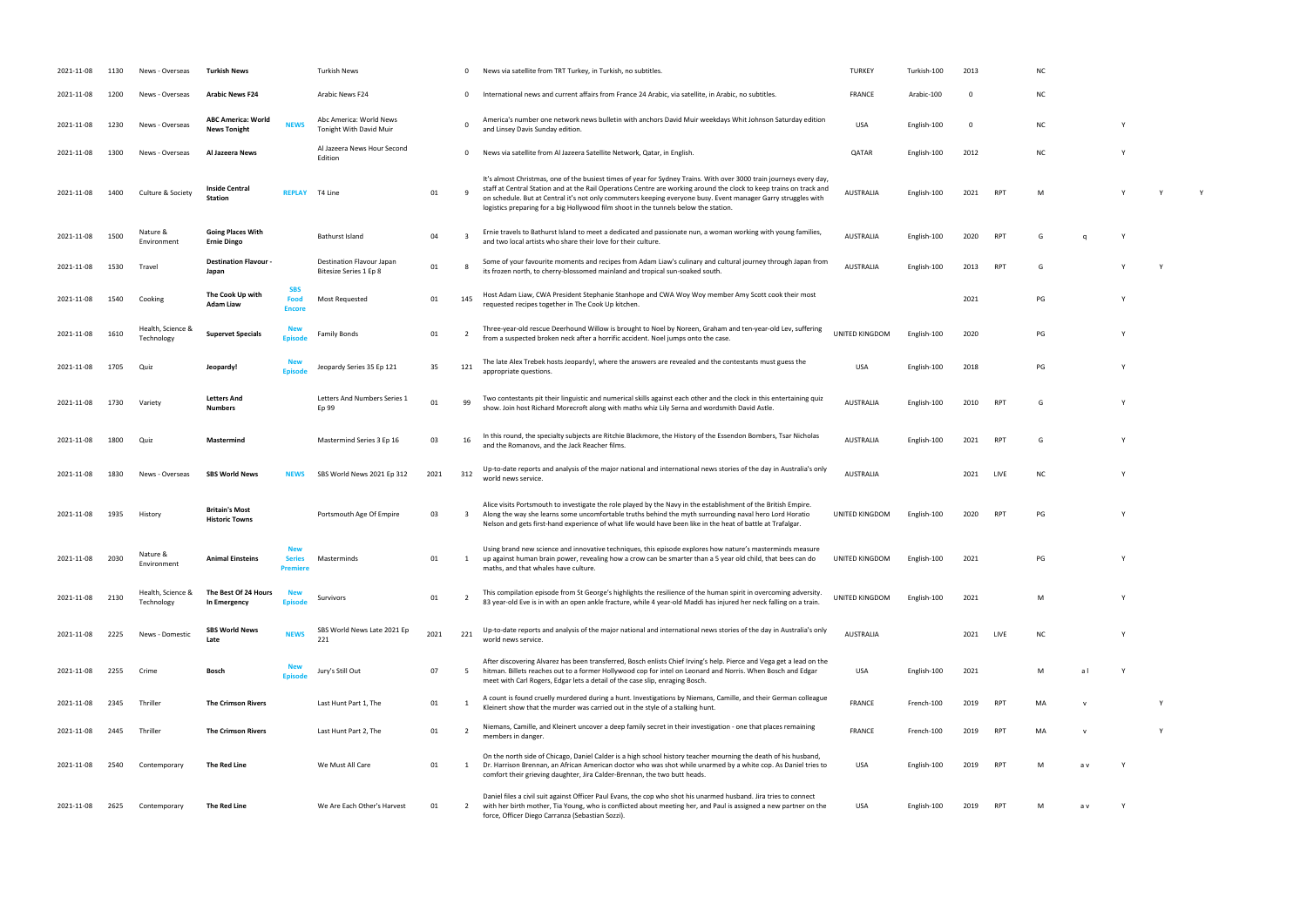| AUSTRALIA | English-100 2021 RPT |  | M | <b>Y</b> | Y | Y |
|-----------|----------------------|--|---|----------|---|---|
|           |                      |  |   |          |   |   |

| RPT        | G | q | Υ |
|------------|---|---|---|
| <b>RPT</b> | G |   | γ |

| PG | Υ |
|----|---|
|    |   |

| 2021-11-08 | 1130 | News - Overseas                 | <b>Turkish News</b>                              |                                                | <b>Turkish News</b>                                        |      | 0                       | News via satellite from TRT Turkey, in Turkish, no subtitles.                                                                                                                                                                                                                                                                                                                                                                                       | <b>TURKEY</b>    | Turkish-100 | 2013           |            | N <sub>C</sub> |              |   |  |
|------------|------|---------------------------------|--------------------------------------------------|------------------------------------------------|------------------------------------------------------------|------|-------------------------|-----------------------------------------------------------------------------------------------------------------------------------------------------------------------------------------------------------------------------------------------------------------------------------------------------------------------------------------------------------------------------------------------------------------------------------------------------|------------------|-------------|----------------|------------|----------------|--------------|---|--|
| 2021-11-08 | 1200 | News - Overseas                 | <b>Arabic News F24</b>                           |                                                | Arabic News F24                                            |      | 0                       | International news and current affairs from France 24 Arabic, via satellite, in Arabic, no subtitles.                                                                                                                                                                                                                                                                                                                                               | <b>FRANCE</b>    | Arabic-100  | $\Omega$       |            | <b>NC</b>      |              |   |  |
| 2021-11-08 | 1230 | News - Overseas                 | <b>ABC America: World</b><br><b>News Tonight</b> | <b>NEWS</b>                                    | Abc America: World News<br>Tonight With David Muir         |      |                         | America's number one network news bulletin with anchors David Muir weekdays Whit Johnson Saturday edition<br>and Linsey Davis Sunday edition.                                                                                                                                                                                                                                                                                                       | <b>USA</b>       | English-100 | $\overline{0}$ |            | <b>NC</b>      |              | Υ |  |
| 2021-11-08 | 1300 | News - Overseas                 | Al Jazeera News                                  |                                                | Al Jazeera News Hour Second<br>Edition                     |      | 0                       | News via satellite from Al Jazeera Satellite Network, Qatar, in English.                                                                                                                                                                                                                                                                                                                                                                            | QATAR            | English-100 | 2012           |            | <b>NC</b>      |              |   |  |
| 2021-11-08 | 1400 | Culture & Society               | <b>Inside Central</b><br><b>Station</b>          | <b>REPLAY</b>                                  | T4 Line                                                    | 01   |                         | It's almost Christmas, one of the busiest times of year for Sydney Trains. With over 3000 train journeys every day,<br>staff at Central Station and at the Rail Operations Centre are working around the clock to keep trains on track and<br>on schedule. But at Central it's not only commuters keeping everyone busy. Event manager Garry struggles with<br>logistics preparing for a big Hollywood film shoot in the tunnels below the station. | AUSTRALIA        | English-100 | 2021           | RPT        | M              |              |   |  |
| 2021-11-08 | 1500 | Nature &<br>Environment         | <b>Going Places With</b><br><b>Ernie Dingo</b>   |                                                | Bathurst Island                                            | 04   |                         | Ernie travels to Bathurst Island to meet a dedicated and passionate nun, a woman working with young families,<br>and two local artists who share their love for their culture.                                                                                                                                                                                                                                                                      | AUSTRALIA        | English-100 | 2020           | <b>RPT</b> | G              | $\Omega$     |   |  |
| 2021-11-08 | 1530 | Travel                          | <b>Destination Flavour</b><br>Japan              |                                                | <b>Destination Flavour Japan</b><br>Bitesize Series 1 Ep 8 | 01   |                         | Some of your favourite moments and recipes from Adam Liaw's culinary and cultural journey through Japan from<br>its frozen north, to cherry-blossomed mainland and tropical sun-soaked south.                                                                                                                                                                                                                                                       | AUSTRALIA        | English-100 | 2013           | RPT        | G              |              |   |  |
| 2021-11-08 | 1540 | Cooking                         | The Cook Up with<br>Adam Liaw                    | <b>SBS</b><br>Food<br><b>Encore</b>            | Most Requested                                             | 01   | 145                     | Host Adam Liaw, CWA President Stephanie Stanhope and CWA Woy Woy member Amy Scott cook their most<br>requested recipes together in The Cook Up kitchen.                                                                                                                                                                                                                                                                                             |                  |             | 2021           |            | PG             |              |   |  |
| 2021-11-08 | 1610 | Health, Science &<br>Technology | <b>Supervet Specials</b>                         | <b>Episod</b>                                  | <b>Family Bonds</b>                                        | 01   |                         | Three-year-old rescue Deerhound Willow is brought to Noel by Noreen, Graham and ten-year-old Lev, suffering<br>from a suspected broken neck after a horrific accident. Noel jumps onto the case.                                                                                                                                                                                                                                                    | UNITED KINGDOM   | English-100 | 2020           |            | PG             |              |   |  |
| 2021-11-08 | 1705 | Quiz                            | Jeopardy!                                        | Episod                                         | Jeopardy Series 35 Ep 121                                  | 35   | 121                     | The late Alex Trebek hosts Jeopardy!, where the answers are revealed and the contestants must guess the<br>appropriate questions.                                                                                                                                                                                                                                                                                                                   | <b>USA</b>       | English-100 | 2018           |            | PG             |              |   |  |
| 2021-11-08 | 1730 | Variety                         | <b>Letters And</b><br>Numbers                    |                                                | Letters And Numbers Series 1<br>Ep 99                      | 01   | 99                      | Two contestants pit their linguistic and numerical skills against each other and the clock in this entertaining quiz<br>show. Join host Richard Morecroft along with maths whiz Lily Serna and wordsmith David Astle.                                                                                                                                                                                                                               | AUSTRALIA        | English-100 | 2010           | RPT        | G              |              |   |  |
| 2021-11-08 | 1800 | Quiz                            | Mastermind                                       |                                                | Mastermind Series 3 Ep 16                                  | 03   | 16                      | In this round, the specialty subjects are Ritchie Blackmore, the History of the Essendon Bombers, Tsar Nicholas<br>and the Romanovs, and the Jack Reacher films.                                                                                                                                                                                                                                                                                    | <b>AUSTRALIA</b> | English-100 | 2021           | <b>RPT</b> | G              |              |   |  |
| 2021-11-08 | 1830 | News - Overseas                 | <b>SBS World News</b>                            | <b>NEWS</b>                                    | SBS World News 2021 Ep 312                                 | 2021 | 312                     | Up-to-date reports and analysis of the major national and international news stories of the day in Australia's only<br>world news service.                                                                                                                                                                                                                                                                                                          | AUSTRALIA        |             | 2021           | LIVE       | <b>NC</b>      |              | ٧ |  |
| 2021-11-08 | 1935 | History                         | <b>Britain's Most</b><br><b>Historic Towns</b>   |                                                | Portsmouth Age Of Empire                                   | 03   | $\overline{\mathbf{3}}$ | Alice visits Portsmouth to investigate the role played by the Navy in the establishment of the British Empire.<br>Along the way she learns some uncomfortable truths behind the myth surrounding naval hero Lord Horatio<br>Nelson and gets first-hand experience of what life would have been like in the heat of battle at Trafalgar.                                                                                                             | UNITED KINGDOM   | English-100 | 2020           | RPT        | PG             |              |   |  |
| 2021-11-08 | 2030 | Nature &<br>Environment         | <b>Animal Einsteins</b>                          | <b>New</b><br><b>Series</b><br><b>Premiere</b> | Masterminds                                                | 01   | 1                       | Using brand new science and innovative techniques, this episode explores how nature's masterminds measure<br>up against human brain power, revealing how a crow can be smarter than a 5 year old child, that bees can do<br>maths, and that whales have culture.                                                                                                                                                                                    | UNITED KINGDOM   | English-100 | 2021           |            | PG             |              | Y |  |
| 2021-11-08 | 2130 | Health, Science &<br>Technology | The Best Of 24 Hours<br>In Emergency             | <b>New</b><br><b>Episod</b>                    | Survivors                                                  | 01   | - 2                     | This compilation episode from St George's highlights the resilience of the human spirit in overcoming adversity.<br>83 year-old Eve is in with an open ankle fracture, while 4 year-old Maddi has injured her neck falling on a train.                                                                                                                                                                                                              | UNITED KINGDOM   | English-100 | 2021           |            | M              |              |   |  |
| 2021-11-08 | 2225 | News - Domestic                 | <b>SBS World News</b><br>Late                    | <b>NEWS</b>                                    | SBS World News Late 2021 Ep<br>221                         | 2021 | 221                     | Up-to-date reports and analysis of the major national and international news stories of the day in Australia's only<br>world news service.                                                                                                                                                                                                                                                                                                          | AUSTRALIA        |             | 2021           | LIVE       | ΝC             |              |   |  |
| 2021-11-08 | 2255 | Crime                           | Bosch                                            | <b>Episode</b>                                 | Jury's Still Out                                           | 07   | 5                       | After discovering Alvarez has been transferred, Bosch enlists Chief Irving's help. Pierce and Vega get a lead on the<br>hitman. Billets reaches out to a former Hollywood cop for intel on Leonard and Norris. When Bosch and Edgar<br>meet with Carl Rogers, Edgar lets a detail of the case slip, enraging Bosch.                                                                                                                                 | USA              | English-100 | 2021           |            | M              | a l          |   |  |
| 2021-11-08 | 2345 | Thriller                        | <b>The Crimson Rivers</b>                        |                                                | Last Hunt Part 1, The                                      | 01   | -1                      | A count is found cruelly murdered during a hunt. Investigations by Niemans, Camille, and their German colleague<br>Kleinert show that the murder was carried out in the style of a stalking hunt.                                                                                                                                                                                                                                                   | <b>FRANCE</b>    | French-100  | 2019           | RPT        | MA             | $\mathsf{v}$ |   |  |
| 2021-11-08 | 2445 | Thriller                        | <b>The Crimson Rivers</b>                        |                                                | Last Hunt Part 2, The                                      | 01   |                         | Niemans, Camille, and Kleinert uncover a deep family secret in their investigation - one that places remaining<br>members in danger.                                                                                                                                                                                                                                                                                                                | <b>FRANCE</b>    | French-100  | 2019           | <b>RPT</b> | MA             | $\mathsf{v}$ |   |  |
| 2021-11-08 | 2540 | Contemporary                    | The Red Line                                     |                                                | We Must All Care                                           | 01   | 1                       | On the north side of Chicago, Daniel Calder is a high school history teacher mourning the death of his husband,<br>Dr. Harrison Brennan, an African American doctor who was shot while unarmed by a white cop. As Daniel tries to<br>comfort their grieving daughter, Jira Calder-Brennan, the two butt heads.                                                                                                                                      | USA              | English-100 | 2019           | RPT        | M              | a v          |   |  |
| 2021-11-08 | 2625 | Contemporary                    | The Red Line                                     |                                                | We Are Each Other's Harvest                                | 01   | 2                       | Daniel files a civil suit against Officer Paul Evans, the cop who shot his unarmed husband. Jira tries to connect<br>with her birth mother, Tia Young, who is conflicted about meeting her, and Paul is assigned a new partner on the<br>force, Officer Diego Carranza (Sebastian Sozzi).                                                                                                                                                           | USA              | English-100 | 2019           | <b>RPT</b> | M              | a v          |   |  |

| NC |  |  |  |
|----|--|--|--|
|    |  |  |  |

| <b>NC</b> | Y |  |
|-----------|---|--|
| <b>NC</b> | Y |  |

USA English-100 2021 V  $R$ PT MA v Y Y

 $RPT$  MA v Y Y RPT M av Y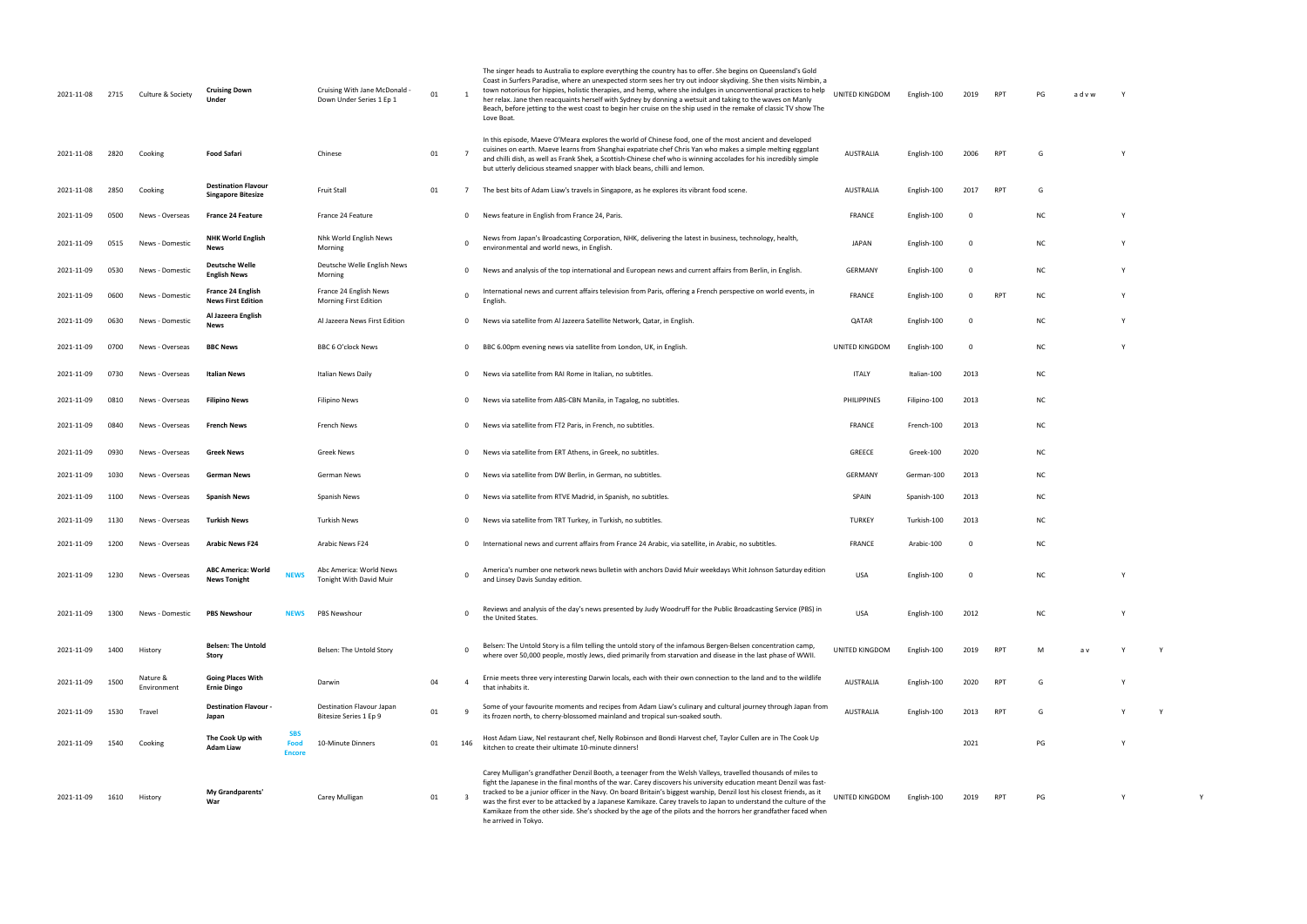| 2021-11-08 | 2715 | Culture & Society       | <b>Cruising Down</b><br>Under                                        | Cruising With Jane McDonald -<br>Down Under Series 1 Ep 1 | 01 |          | The singer heads to Australia to explore everything the country has to offer. She begins on Queensland's Gold<br>Coast in Surfers Paradise, where an unexpected storm sees her try out indoor skydiving. She then visits Nimbin, a<br>town notorious for hippies, holistic therapies, and hemp, where she indulges in unconventional practices to help<br>her relax. Jane then reacquaints herself with Sydney by donning a wetsuit and taking to the waves on Manly<br>Beach, before jetting to the west coast to begin her cruise on the ship used in the remake of classic TV show The<br>Love Boat.                       | UNITED KINGDOM     | English-100  | 2019        | RPT        | PG        | advw           |   |
|------------|------|-------------------------|----------------------------------------------------------------------|-----------------------------------------------------------|----|----------|-------------------------------------------------------------------------------------------------------------------------------------------------------------------------------------------------------------------------------------------------------------------------------------------------------------------------------------------------------------------------------------------------------------------------------------------------------------------------------------------------------------------------------------------------------------------------------------------------------------------------------|--------------------|--------------|-------------|------------|-----------|----------------|---|
| 2021-11-08 | 2820 | Cooking                 | <b>Food Safari</b>                                                   | Chinese                                                   | 01 |          | In this episode, Maeve O'Meara explores the world of Chinese food, one of the most ancient and developed<br>cuisines on earth. Maeve learns from Shanghai expatriate chef Chris Yan who makes a simple melting eggplant<br>and chilli dish, as well as Frank Shek, a Scottish-Chinese chef who is winning accolades for his incredibly simple<br>but utterly delicious steamed snapper with black beans, chilli and lemon.                                                                                                                                                                                                    | <b>AUSTRALIA</b>   | English-100  | 2006        | <b>RPT</b> | G         |                |   |
| 2021-11-08 | 2850 | Cooking                 | <b>Destination Flavour</b><br><b>Singapore Bitesize</b>              | <b>Fruit Stall</b>                                        | 01 |          | The best bits of Adam Liaw's travels in Singapore, as he explores its vibrant food scene.                                                                                                                                                                                                                                                                                                                                                                                                                                                                                                                                     | <b>AUSTRALIA</b>   | English-100  | 2017        | RPT        | G         |                |   |
| 2021-11-09 | 0500 | News - Overseas         | <b>France 24 Feature</b>                                             | France 24 Feature                                         |    | 0        | News feature in English from France 24, Paris.                                                                                                                                                                                                                                                                                                                                                                                                                                                                                                                                                                                | <b>FRANCE</b>      | English-100  | 0           |            | ΝC        |                | Υ |
| 2021-11-09 | 0515 | News - Domestic         | <b>NHK World English</b><br><b>News</b>                              | Nhk World English News<br>Morning                         |    | $\Omega$ | News from Japan's Broadcasting Corporation, NHK, delivering the latest in business, technology, health,<br>environmental and world news, in English.                                                                                                                                                                                                                                                                                                                                                                                                                                                                          | JAPAN              | English-100  | 0           |            | <b>NC</b> |                |   |
| 2021-11-09 | 0530 | News - Domestic         | <b>Deutsche Welle</b><br><b>English News</b>                         | Deutsche Welle English News<br>Morning                    |    | 0        | News and analysis of the top international and European news and current affairs from Berlin, in English.                                                                                                                                                                                                                                                                                                                                                                                                                                                                                                                     | <b>GERMANY</b>     | English-100  | $\Omega$    |            | <b>NC</b> |                |   |
| 2021-11-09 | 0600 | News - Domestic         | France 24 English<br><b>News First Edition</b>                       | France 24 English News<br>Morning First Edition           |    | $\Omega$ | International news and current affairs television from Paris, offering a French perspective on world events, in<br>English.                                                                                                                                                                                                                                                                                                                                                                                                                                                                                                   | <b>FRANCE</b>      | English-100  | 0           | RPT        | ΝC        |                |   |
| 2021-11-09 | 0630 | News - Domestic         | Al Jazeera English<br><b>News</b>                                    | Al Jazeera News First Edition                             |    | 0        | News via satellite from Al Jazeera Satellite Network, Qatar, in English.                                                                                                                                                                                                                                                                                                                                                                                                                                                                                                                                                      | QATAR              | English-100  | 0           |            | <b>NC</b> |                |   |
| 2021-11-09 | 0700 | News - Overseas         | <b>BBC News</b>                                                      | BBC 6 O'clock News                                        |    | 0        | BBC 6.00pm evening news via satellite from London, UK, in English.                                                                                                                                                                                                                                                                                                                                                                                                                                                                                                                                                            | UNITED KINGDOM     | English-100  | $\Omega$    |            | <b>NC</b> |                |   |
| 2021-11-09 | 0730 | News - Overseas         | Italian News                                                         | Italian News Daily                                        |    | 0        | News via satellite from RAI Rome in Italian, no subtitles.                                                                                                                                                                                                                                                                                                                                                                                                                                                                                                                                                                    | <b>ITALY</b>       | Italian-100  | 2013        |            | <b>NC</b> |                |   |
| 2021-11-09 | 0810 | News - Overseas         | <b>Filipino News</b>                                                 | <b>Filipino News</b>                                      |    | 0        | News via satellite from ABS-CBN Manila, in Tagalog, no subtitles.                                                                                                                                                                                                                                                                                                                                                                                                                                                                                                                                                             | <b>PHILIPPINES</b> | Filipino-100 | 2013        |            | ΝC        |                |   |
| 2021-11-09 | 0840 | News - Overseas         | French News                                                          | French News                                               |    | 0        | News via satellite from FT2 Paris, in French, no subtitles.                                                                                                                                                                                                                                                                                                                                                                                                                                                                                                                                                                   | FRANCE             | French-100   | 2013        |            | <b>NC</b> |                |   |
| 2021-11-09 | 0930 | News - Overseas         | <b>Greek News</b>                                                    | Greek News                                                |    | 0        | News via satellite from ERT Athens, in Greek, no subtitles.                                                                                                                                                                                                                                                                                                                                                                                                                                                                                                                                                                   | GREECE             | Greek-100    | 2020        |            | <b>NC</b> |                |   |
| 2021-11-09 | 1030 | News - Overseas         | German News                                                          | German News                                               |    | 0        | News via satellite from DW Berlin, in German, no subtitles.                                                                                                                                                                                                                                                                                                                                                                                                                                                                                                                                                                   | <b>GERMANY</b>     | German-100   | 2013        |            | ΝC        |                |   |
| 2021-11-09 | 1100 | News - Overseas         | <b>Spanish News</b>                                                  | Spanish News                                              |    | 0        | News via satellite from RTVE Madrid, in Spanish, no subtitles.                                                                                                                                                                                                                                                                                                                                                                                                                                                                                                                                                                | SPAIN              | Spanish-100  | 2013        |            | ΝC        |                |   |
| 2021-11-09 | 1130 | News - Overseas         | Turkish News                                                         | <b>Turkish News</b>                                       |    | 0        | News via satellite from TRT Turkey, in Turkish, no subtitles.                                                                                                                                                                                                                                                                                                                                                                                                                                                                                                                                                                 | <b>TURKEY</b>      | Turkish-100  | 2013        |            | <b>NC</b> |                |   |
| 2021-11-09 | 1200 | News - Overseas         | <b>Arabic News F24</b>                                               | Arabic News F24                                           |    | 0        | International news and current affairs from France 24 Arabic, via satellite, in Arabic, no subtitles.                                                                                                                                                                                                                                                                                                                                                                                                                                                                                                                         | <b>FRANCE</b>      | Arabic-100   | $\Omega$    |            | <b>NC</b> |                |   |
| 2021-11-09 | 1230 | News - Overseas         | <b>ABC America: World</b><br><b>NEWS</b><br><b>News Tonight</b>      | Abc America: World News<br>Tonight With David Muir        |    | $\Omega$ | America's number one network news bulletin with anchors David Muir weekdays Whit Johnson Saturday edition<br>and Linsey Davis Sunday edition.                                                                                                                                                                                                                                                                                                                                                                                                                                                                                 | <b>USA</b>         | English-100  | $\mathbf 0$ |            | <b>NC</b> |                |   |
| 2021-11-09 | 1300 | News - Domestic         | <b>PBS Newshour</b><br><b>NEWS</b>                                   | PBS Newshour                                              |    |          | Reviews and analysis of the day's news presented by Judy Woodruff for the Public Broadcasting Service (PBS) in<br>the United States.                                                                                                                                                                                                                                                                                                                                                                                                                                                                                          | <b>USA</b>         | English-100  | 2012        |            | <b>NC</b> |                | ٧ |
| 2021-11-09 | 1400 | History                 | <b>Belsen: The Untold</b><br>Story                                   | Belsen: The Untold Story                                  |    |          | Belsen: The Untold Story is a film telling the untold story of the infamous Bergen-Belsen concentration camp,<br>where over 50,000 people, mostly Jews, died primarily from starvation and disease in the last phase of WWII.                                                                                                                                                                                                                                                                                                                                                                                                 | UNITED KINGDOM     | English-100  | 2019        | <b>RPT</b> | M         | a <sub>u</sub> |   |
| 2021-11-09 | 1500 | Nature &<br>Environment | <b>Going Places With</b><br><b>Ernie Dingo</b>                       | Darwin                                                    | 04 | 4        | Ernie meets three very interesting Darwin locals, each with their own connection to the land and to the wildlife<br>that inhabits it.                                                                                                                                                                                                                                                                                                                                                                                                                                                                                         | AUSTRALIA          | English-100  | 2020        | RPT        | G         |                |   |
| 2021-11-09 | 1530 | Travel                  | <b>Destination Flavour -</b><br>Japan                                | Destination Flavour Japan<br>Bitesize Series 1 Ep 9       | 01 |          | Some of your favourite moments and recipes from Adam Liaw's culinary and cultural journey through Japan from<br>its frozen north, to cherry-blossomed mainland and tropical sun-soaked south.                                                                                                                                                                                                                                                                                                                                                                                                                                 | <b>AUSTRALIA</b>   | English-100  | 2013        | <b>RPT</b> | G         |                |   |
| 2021-11-09 | 1540 | Cooking                 | <b>SBS</b><br>The Cook Up with<br>Food<br>Adam Liaw<br><b>Encore</b> | 10-Minute Dinners                                         | 01 | 146      | Host Adam Liaw, Nel restaurant chef, Nelly Robinson and Bondi Harvest chef, Taylor Cullen are in The Cook Up<br>kitchen to create their ultimate 10-minute dinners!                                                                                                                                                                                                                                                                                                                                                                                                                                                           |                    |              | 2021        |            | PG        |                |   |
| 2021-11-09 | 1610 | History                 | My Grandparents'<br>War                                              | Carey Mulligan                                            | 01 |          | Carey Mulligan's grandfather Denzil Booth, a teenager from the Welsh Valleys, travelled thousands of miles to<br>fight the Japanese in the final months of the war. Carey discovers his university education meant Denzil was fast-<br>tracked to be a junior officer in the Navy. On board Britain's biggest warship, Denzil lost his closest friends, as it<br>was the first ever to be attacked by a Japanese Kamikaze. Carey travels to Japan to understand the culture of the<br>Kamikaze from the other side. She's shocked by the age of the pilots and the horrors her grandfather faced when<br>he arrived in Tokyo. | UNITED KINGDOM     | English-100  | 2019        | RP1        | PG        |                |   |

| TED KINGDOM   | English-100  | 2019      | RPT        | PG         | advw | Υ |   |   |  |
|---------------|--------------|-----------|------------|------------|------|---|---|---|--|
|               |              |           |            |            |      |   |   |   |  |
| AUSTRALIA     | English-100  | 2006      | RPT        | G          |      | Υ |   |   |  |
| AUSTRALIA     | English-100  | 2017      | RPT        | G          |      |   |   |   |  |
| FRANCE        | English-100  | $\pmb{0}$ |            | <b>NC</b>  |      | Υ |   |   |  |
| <b>JAPAN</b>  | English-100  | 0         |            | NC         |      | Υ |   |   |  |
| GERMANY       | English-100  | 0         |            | NC         |      | Υ |   |   |  |
| <b>FRANCE</b> | English-100  | 0         | <b>RPT</b> | NC         |      | Υ |   |   |  |
| QATAR         | English-100  | 0         |            | <b>NC</b>  |      | Υ |   |   |  |
| TED KINGDOM   | English-100  | $\pmb{0}$ |            | <b>NC</b>  |      | Υ |   |   |  |
| <b>ITALY</b>  | Italian-100  | 2013      |            | NC         |      |   |   |   |  |
| PHILIPPINES   | Filipino-100 | 2013      |            | NC         |      |   |   |   |  |
| FRANCE        | French-100   | 2013      |            | NC         |      |   |   |   |  |
| GREECE        | Greek-100    | 2020      |            | <b>NC</b>  |      |   |   |   |  |
| GERMANY       | German-100   | 2013      |            | <b>NC</b>  |      |   |   |   |  |
| SPAIN         | Spanish-100  | 2013      |            | NC         |      |   |   |   |  |
| <b>TURKEY</b> | Turkish-100  | 2013      |            | NC         |      |   |   |   |  |
| <b>FRANCE</b> | Arabic-100   | 0         |            | NC         |      |   |   |   |  |
| USA           | English-100  | 0         |            | NC         |      | Y |   |   |  |
| USA           | English-100  | 2012      |            | ${\sf NC}$ |      | Υ |   |   |  |
| TED KINGDOM   | English-100  | 2019      | RPT        | М          | a v  | Υ | Υ |   |  |
| AUSTRALIA     | English-100  | 2020      | RPT        | G          |      | Υ |   |   |  |
| AUSTRALIA     | English-100  | 2013      | RPT        | G          |      | Υ | Υ |   |  |
|               |              | 2021      |            | PG         |      | Υ |   |   |  |
|               |              |           |            |            |      |   |   |   |  |
| TED KINGDOM   | English-100  | 2019      | RPT        | PG         |      | Υ |   | Υ |  |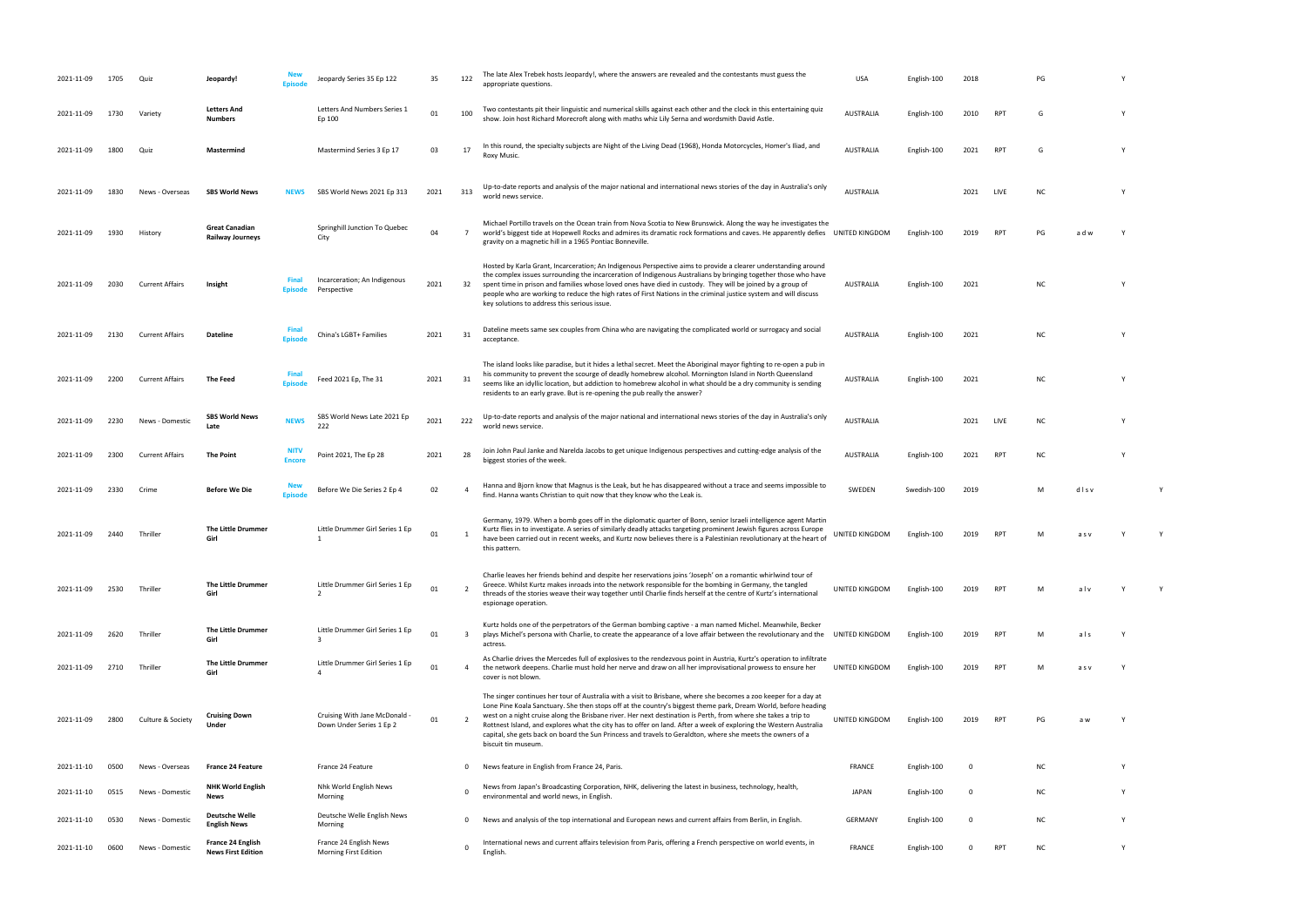- show. Join host Richard Morecroft along with maths whiz Lily Serna and wordsmith David Astle. AUSTRALIA English-100 <sup>2010</sup> RPT <sup>G</sup> <sup>Y</sup> RPT G Y
- world news service. AuSTRALIA 2021 2022 2021 2022 2021 2022 2021 2022 2021 2022 2021 2021 2021 2021 2021 2021 20
- RPT PG ad w Y
	- AUSTRALIA English-100 2021 NC Y
	- AUSTRALIA English-100 2021 NC Y
- AUSTRALIA English-100 2021 NC Y
- 
- world news service. AuSTRALIA 2021 2022 2021 2022 2021 2022 2021 2022 2021 2022 2021 2021 2021 2021 2021 2021 20 biggest stories of the week. AUSTRALIA English-100 <sup>2021</sup> RPT NC <sup>Y</sup>
- find. Hanna wants Christian to Maria the Leak is. Swedish-100 2019 M d l s v Y Y Y Y Y Y Y Y Y Y Y Y Y Y Y Y Y
- RPT M as v Y Y
- RPT M alv Y Y
- RPT M als Y
- RPT M a s v Y
- RPT PG aw Y
	-
- 
- 
- 
- 
- 
- 
- 
- 
- 
- 
- 
- 
- 
- 
- -
- 
- -
- 
- 
- 
- 
- 
- 
- 
- 
- -
	-
- 
- 
- 
- 
- 
- 
- 
- 
- 
- 
- 
- 
- -
	-
- -
- 
- 
- 
- 
- 
- -
	-
	-
	-
	-
- 
- 
- 
- 
- -
- -
- 
- 
- 
- 
- 

| 2021-11-09 | 1705 | Quiz                   | Jeopardy!                                             |                              | Jeopardy Series 35 Ep 122                               | 35   | 122                     | The late Alex Trebek hosts Jeopardy!, where the answers are revealed and the contestants must guess the<br>appropriate questions.                                                                                                                                                                                                                                                                                                                                                                                                                                                                              | <b>USA</b>       | English-100 | 2018     |                 | PG        |      |  |
|------------|------|------------------------|-------------------------------------------------------|------------------------------|---------------------------------------------------------|------|-------------------------|----------------------------------------------------------------------------------------------------------------------------------------------------------------------------------------------------------------------------------------------------------------------------------------------------------------------------------------------------------------------------------------------------------------------------------------------------------------------------------------------------------------------------------------------------------------------------------------------------------------|------------------|-------------|----------|-----------------|-----------|------|--|
| 2021-11-09 | 1730 | Variety                | <b>Letters And</b><br><b>Numbers</b>                  |                              | Letters And Numbers Series 1<br>Ep 100                  | 01   | 100                     | Two contestants pit their linguistic and numerical skills against each other and the clock in this entertaining quiz<br>show. Join host Richard Morecroft along with maths whiz Lily Serna and wordsmith David Astle.                                                                                                                                                                                                                                                                                                                                                                                          | <b>AUSTRALIA</b> | English-100 | 2010     | RP <sub>1</sub> | G         |      |  |
| 2021-11-09 | 1800 | Quiz                   | Mastermind                                            |                              | Mastermind Series 3 Ep 17                               | 03   | 17                      | In this round, the specialty subjects are Night of the Living Dead (1968), Honda Motorcycles, Homer's Iliad, and<br>Roxy Music.                                                                                                                                                                                                                                                                                                                                                                                                                                                                                | <b>AUSTRALIA</b> | English-100 | 2021     | RP <sub>1</sub> | G         |      |  |
| 2021-11-09 | 1830 | News - Overseas        | <b>SBS World News</b>                                 | <b>NEWS</b>                  | SBS World News 2021 Ep 313                              | 2021 | 313                     | Up-to-date reports and analysis of the major national and international news stories of the day in Australia's only<br>world news service.                                                                                                                                                                                                                                                                                                                                                                                                                                                                     | <b>AUSTRALIA</b> |             | 2021     | LIVE            | ΝC        |      |  |
| 2021-11-09 | 1930 | History                | <b>Great Canadian</b><br><b>Railway Journeys</b>      |                              | Springhill Junction To Quebec<br>City                   | 04   | $7\overline{ }$         | Michael Portillo travels on the Ocean train from Nova Scotia to New Brunswick. Along the way he investigates the<br>world's biggest tide at Hopewell Rocks and admires its dramatic rock formations and caves. He apparently defies UNITED KINGDOM<br>gravity on a magnetic hill in a 1965 Pontiac Bonneville.                                                                                                                                                                                                                                                                                                 |                  | English-100 | 2019     | RP <sub>1</sub> |           |      |  |
| 2021-11-09 | 2030 | <b>Current Affairs</b> | Insight                                               | Final<br>Episode             | Incarceration; An Indigenous<br>Perspective             | 2021 | 32                      | Hosted by Karla Grant, Incarceration; An Indigenous Perspective aims to provide a clearer understanding around<br>the complex issues surrounding the incarceration of Indigenous Australians by bringing together those who have<br>spent time in prison and families whose loved ones have died in custody. They will be joined by a group of<br>people who are working to reduce the high rates of First Nations in the criminal justice system and will discuss<br>key solutions to address this serious issue.                                                                                             | <b>AUSTRALIA</b> | English-100 | 2021     |                 | <b>NC</b> |      |  |
| 2021-11-09 | 2130 | <b>Current Affairs</b> | Dateline                                              | Fina<br>Episod               | China's LGBT+ Families                                  | 2021 | 31                      | Dateline meets same sex couples from China who are navigating the complicated world or surrogacy and social<br>acceptance.                                                                                                                                                                                                                                                                                                                                                                                                                                                                                     | <b>AUSTRALIA</b> | English-100 | 2021     |                 | <b>NC</b> |      |  |
| 2021-11-09 | 2200 | <b>Current Affairs</b> | <b>The Feed</b>                                       |                              | Feed 2021 Ep, The 31                                    | 2021 | 31                      | The island looks like paradise, but it hides a lethal secret. Meet the Aboriginal mayor fighting to re-open a pub in<br>his community to prevent the scourge of deadly homebrew alcohol. Mornington Island in North Queensland<br>seems like an idyllic location, but addiction to homebrew alcohol in what should be a dry community is sending<br>residents to an early grave. But is re-opening the pub really the answer?                                                                                                                                                                                  | <b>AUSTRALIA</b> | English-100 | 2021     |                 | ΝC        |      |  |
| 2021-11-09 | 2230 | News - Domestic        | <b>SBS World News</b><br>Late                         | <b>NEWS</b>                  | SBS World News Late 2021 Ep<br>222                      | 2021 | 222                     | Up-to-date reports and analysis of the major national and international news stories of the day in Australia's only<br>world news service.                                                                                                                                                                                                                                                                                                                                                                                                                                                                     | <b>AUSTRALIA</b> |             | 2021     | LIVE            | <b>NC</b> |      |  |
| 2021-11-09 | 2300 | <b>Current Affairs</b> | <b>The Point</b>                                      | <b>NITV</b><br><b>Encore</b> | Point 2021, The Ep 28                                   | 2021 | 28                      | Join John Paul Janke and Narelda Jacobs to get unique Indigenous perspectives and cutting-edge analysis of the<br>biggest stories of the week.                                                                                                                                                                                                                                                                                                                                                                                                                                                                 | <b>AUSTRALIA</b> | English-100 | 2021     | RP              | ΝC        |      |  |
| 2021-11-09 | 2330 | Crime                  | <b>Before We Die</b>                                  | <b>Episod</b>                | Before We Die Series 2 Ep 4                             | 02   | 4                       | Hanna and Bjorn know that Magnus is the Leak, but he has disappeared without a trace and seems impossible to<br>find. Hanna wants Christian to quit now that they know who the Leak is.                                                                                                                                                                                                                                                                                                                                                                                                                        | SWEDEN           | Swedish-100 | 2019     |                 | м         | disv |  |
| 2021-11-09 | 2440 | Thriller               | The Little Drummer<br>Girl                            |                              | Little Drummer Girl Series 1 Ep<br>$\mathbf{1}$         | 01   | -1                      | Germany, 1979. When a bomb goes off in the diplomatic quarter of Bonn, senior Israeli intelligence agent Martin<br>Kurtz flies in to investigate. A series of similarly deadly attacks targeting prominent Jewish figures across Europe<br>have been carried out in recent weeks, and Kurtz now believes there is a Palestinian revolutionary at the heart of<br>this pattern.                                                                                                                                                                                                                                 | UNITED KINGDOM   | English-100 | 2019     | RP <sup>-</sup> |           | asv  |  |
| 2021-11-09 | 2530 | Thriller               | The Little Drummer<br>Girl                            |                              | Little Drummer Girl Series 1 Ep                         | 01   | $\overline{2}$          | Charlie leaves her friends behind and despite her reservations joins 'Joseph' on a romantic whirlwind tour of<br>Greece. Whilst Kurtz makes inroads into the network responsible for the bombing in Germany, the tangled<br>threads of the stories weave their way together until Charlie finds herself at the centre of Kurtz's international<br>espionage operation.                                                                                                                                                                                                                                         | UNITED KINGDOM   | English-100 | 2019     | <b>RPT</b>      | м         | alv  |  |
| 2021-11-09 | 2620 | Thriller               | The Little Drummer<br>Girl                            |                              | Little Drummer Girl Series 1 Ep<br>Р                    | 01   | $\overline{\mathbf{3}}$ | Kurtz holds one of the perpetrators of the German bombing captive - a man named Michel. Meanwhile, Becker<br>plays Michel's persona with Charlie, to create the appearance of a love affair between the revolutionary and the<br>actress.                                                                                                                                                                                                                                                                                                                                                                      | UNITED KINGDOM   | English-100 | 2019     | <b>RPT</b>      | м         | als  |  |
| 2021-11-09 | 2710 | Thriller               | The Little Drummer<br>Girl                            |                              | Little Drummer Girl Series 1 Ep                         | 01   | $\overline{a}$          | As Charlie drives the Mercedes full of explosives to the rendezvous point in Austria, Kurtz's operation to infiltrate<br>the network deepens. Charlie must hold her nerve and draw on all her improvisational prowess to ensure her<br>cover is not blown.                                                                                                                                                                                                                                                                                                                                                     | UNITED KINGDOM   | English-100 | 2019     | <b>RPT</b>      | м         | asv  |  |
| 2021-11-09 | 2800 | Culture & Society      | <b>Cruising Down</b><br>Under                         |                              | Cruising With Jane McDonald<br>Down Under Series 1 Ep 2 | 01   | $\overline{2}$          | The singer continues her tour of Australia with a visit to Brisbane, where she becomes a zoo keeper for a day at<br>Lone Pine Koala Sanctuary. She then stops off at the country's biggest theme park, Dream World, before heading<br>west on a night cruise along the Brisbane river. Her next destination is Perth, from where she takes a trip to<br>Rottnest Island, and explores what the city has to offer on land. After a week of exploring the Western Australia<br>capital, she gets back on board the Sun Princess and travels to Geraldton, where she meets the owners of a<br>biscuit tin museum. | UNITED KINGDOM   | English-100 | 2019     | <b>RPT</b>      | PG        | аw   |  |
| 2021-11-10 | 0500 | News - Overseas        | <b>France 24 Feature</b>                              |                              | France 24 Feature                                       |      | 0                       | News feature in English from France 24, Paris.                                                                                                                                                                                                                                                                                                                                                                                                                                                                                                                                                                 | <b>FRANCE</b>    | English-100 | $\Omega$ |                 | ΝC        |      |  |
| 2021-11-10 | 0515 | News - Domestic        | <b>NHK World English</b><br>News                      |                              | Nhk World English News<br>Morning                       |      | $\Omega$                | News from Japan's Broadcasting Corporation, NHK, delivering the latest in business, technology, health,<br>environmental and world news, in English.                                                                                                                                                                                                                                                                                                                                                                                                                                                           | JAPAN            | English-100 | $\Omega$ |                 | <b>NC</b> |      |  |
| 2021-11-10 | 0530 | News - Domestic        | <b>Deutsche Welle</b><br><b>English News</b>          |                              | Deutsche Welle English News<br>Morning                  |      | 0                       | News and analysis of the top international and European news and current affairs from Berlin, in English.                                                                                                                                                                                                                                                                                                                                                                                                                                                                                                      | <b>GERMANY</b>   | English-100 | $\Omega$ |                 | <b>NC</b> |      |  |
| 2021-11-10 | 0600 | News - Domestic        | <b>France 24 English</b><br><b>News First Edition</b> |                              | France 24 English News<br>Morning First Edition         |      | 0                       | International news and current affairs television from Paris, offering a French perspective on world events, in<br>English                                                                                                                                                                                                                                                                                                                                                                                                                                                                                     | <b>FRANCE</b>    | English-100 |          | <b>RPT</b>      | NC        |      |  |

| PG | Y |
|----|---|
|    |   |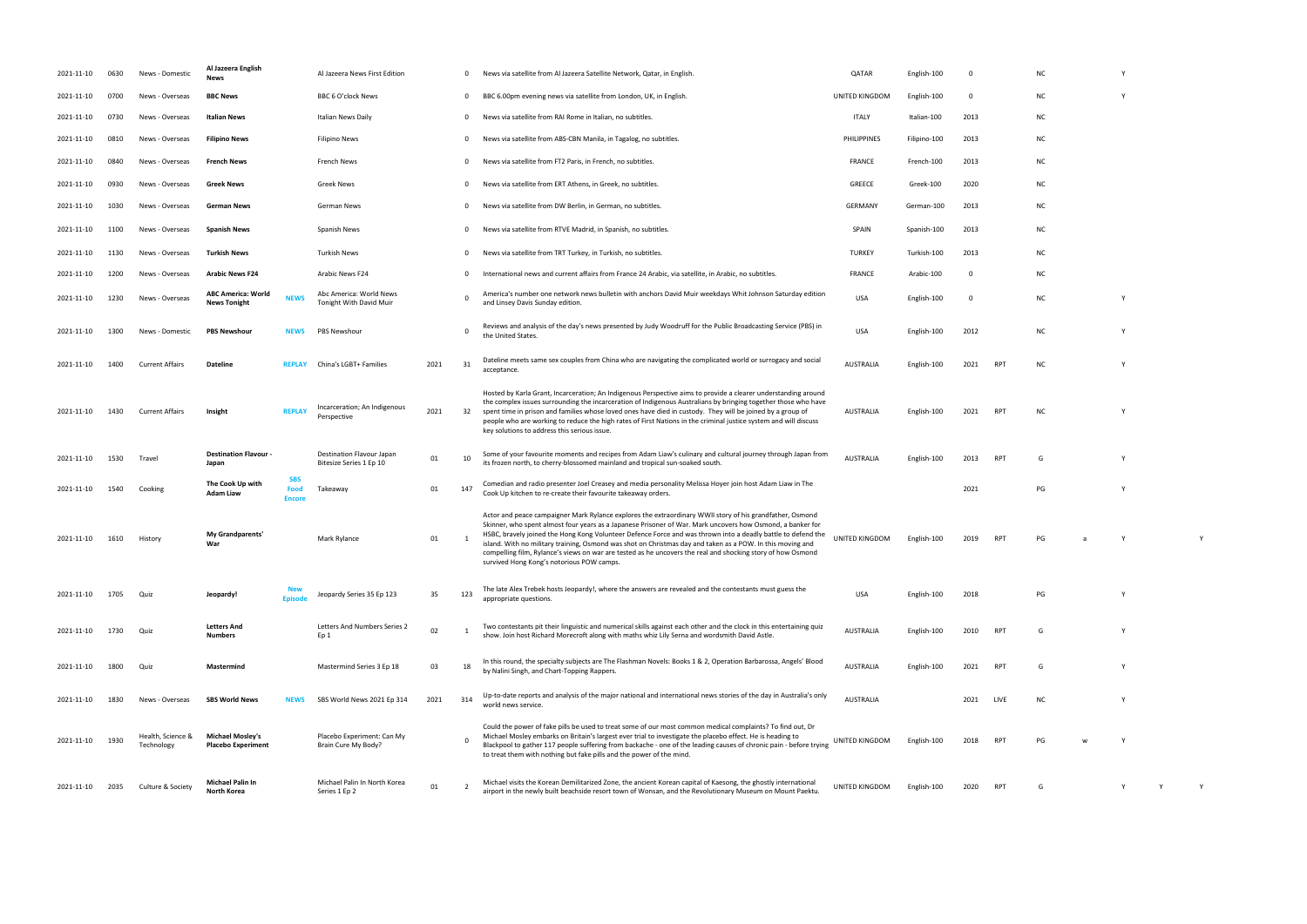| 2021-11-10 | 0630 | News - Domestic                 | Al Jazeera English<br>News                       |                                     | Al Jazeera News First Edition                        |      | $\mathbf{0}$   | News via satellite from Al Jazeera Satellite Network, Qatar, in English.                                                                                                                                                                                                                                                                                                                                                                                                                                                                                                                                         | QATAR              | English-100  | $\Omega$   |                 | <b>NC</b> |  |
|------------|------|---------------------------------|--------------------------------------------------|-------------------------------------|------------------------------------------------------|------|----------------|------------------------------------------------------------------------------------------------------------------------------------------------------------------------------------------------------------------------------------------------------------------------------------------------------------------------------------------------------------------------------------------------------------------------------------------------------------------------------------------------------------------------------------------------------------------------------------------------------------------|--------------------|--------------|------------|-----------------|-----------|--|
| 2021-11-10 | 0700 | News - Overseas                 | <b>BBC News</b>                                  |                                     | BBC 6 O'clock News                                   |      | $\overline{0}$ | BBC 6.00pm evening news via satellite from London, UK, in English.                                                                                                                                                                                                                                                                                                                                                                                                                                                                                                                                               | UNITED KINGDOM     | English-100  | $\Omega$   |                 | NC        |  |
| 2021-11-10 | 0730 | News - Overseas                 | Italian News                                     |                                     | <b>Italian News Daily</b>                            |      | $\mathbf{0}$   | News via satellite from RAI Rome in Italian, no subtitles.                                                                                                                                                                                                                                                                                                                                                                                                                                                                                                                                                       | <b>ITALY</b>       | Italian-100  | 2013       |                 | NC.       |  |
| 2021-11-10 | 0810 | News - Overseas                 | <b>Filipino News</b>                             |                                     | <b>Filipino News</b>                                 |      | $\mathbf 0$    | News via satellite from ABS-CBN Manila, in Tagalog, no subtitles.                                                                                                                                                                                                                                                                                                                                                                                                                                                                                                                                                | <b>PHILIPPINES</b> | Filipino-100 | 2013       |                 | NC.       |  |
| 2021-11-10 | 0840 | News - Overseas                 | <b>French News</b>                               |                                     | French News                                          |      | $\mathbf{0}$   | News via satellite from FT2 Paris, in French, no subtitles.                                                                                                                                                                                                                                                                                                                                                                                                                                                                                                                                                      | FRANCE             | French-100   | 2013       |                 | ΝC        |  |
| 2021-11-10 | 0930 | News - Overseas                 | <b>Greek News</b>                                |                                     | Greek News                                           |      | $\mathbf 0$    | News via satellite from ERT Athens, in Greek, no subtitles.                                                                                                                                                                                                                                                                                                                                                                                                                                                                                                                                                      | <b>GREECE</b>      | Greek-100    | 2020       |                 | NC.       |  |
| 2021-11-10 | 1030 | News - Overseas                 | German News                                      |                                     | German News                                          |      | $\mathbf{0}$   | News via satellite from DW Berlin, in German, no subtitles.                                                                                                                                                                                                                                                                                                                                                                                                                                                                                                                                                      | <b>GERMANY</b>     | German-100   | 2013       |                 | NC.       |  |
| 2021-11-10 | 1100 | News - Overseas                 | <b>Spanish News</b>                              |                                     | Spanish News                                         |      | $\mathbf 0$    | News via satellite from RTVE Madrid, in Spanish, no subtitles.                                                                                                                                                                                                                                                                                                                                                                                                                                                                                                                                                   | SPAIN              | Spanish-100  | 2013       |                 | NC.       |  |
| 2021-11-10 | 1130 | News - Overseas                 | <b>Turkish News</b>                              |                                     | <b>Turkish News</b>                                  |      | $\mathbf{0}$   | News via satellite from TRT Turkey, in Turkish, no subtitles.                                                                                                                                                                                                                                                                                                                                                                                                                                                                                                                                                    | <b>TURKEY</b>      | Turkish-100  | 2013       |                 | NC        |  |
| 2021-11-10 | 1200 | News - Overseas                 | <b>Arabic News F24</b>                           |                                     | Arabic News F24                                      |      | $\mathbf{0}$   | International news and current affairs from France 24 Arabic, via satellite, in Arabic, no subtitles.                                                                                                                                                                                                                                                                                                                                                                                                                                                                                                            | <b>FRANCE</b>      | Arabic-100   | $^{\circ}$ |                 | <b>NC</b> |  |
| 2021-11-10 | 1230 | News - Overseas                 | <b>ABC America: World</b><br><b>News Tonight</b> | <b>NEWS</b>                         | Abc America: World News<br>Tonight With David Muir   |      | $\Omega$       | America's number one network news bulletin with anchors David Muir weekdays Whit Johnson Saturday edition<br>and Linsey Davis Sunday edition.                                                                                                                                                                                                                                                                                                                                                                                                                                                                    | <b>USA</b>         | English-100  | $\Omega$   |                 | NC.       |  |
| 2021-11-10 | 1300 | News - Domestic                 | <b>PBS Newshour</b>                              | <b>NEWS</b>                         | PBS Newshour                                         |      | $\Omega$       | Reviews and analysis of the day's news presented by Judy Woodruff for the Public Broadcasting Service (PBS) in<br>the United States.                                                                                                                                                                                                                                                                                                                                                                                                                                                                             | <b>USA</b>         | English-100  | 2012       |                 | NC.       |  |
| 2021-11-10 | 1400 | <b>Current Affairs</b>          | <b>Dateline</b>                                  | <b>REPLAY</b>                       | China's LGBT+ Families                               | 2021 | 31             | Dateline meets same sex couples from China who are navigating the complicated world or surrogacy and social<br>acceptance.                                                                                                                                                                                                                                                                                                                                                                                                                                                                                       | <b>AUSTRALIA</b>   | English-100  | 2021       | RPT             | <b>NC</b> |  |
| 2021-11-10 | 1430 | <b>Current Affairs</b>          | Insight                                          | <b>REPLAY</b>                       | Incarceration; An Indigenous<br>Perspective          | 2021 | 32             | Hosted by Karla Grant, Incarceration; An Indigenous Perspective aims to provide a clearer understanding around<br>the complex issues surrounding the incarceration of Indigenous Australians by bringing together those who have<br>spent time in prison and families whose loved ones have died in custody. They will be joined by a group of<br>people who are working to reduce the high rates of First Nations in the criminal justice system and will discuss<br>key solutions to address this serious issue.                                                                                               | <b>AUSTRALIA</b>   | English-100  | 2021       | RPT             | NC.       |  |
| 2021-11-10 | 1530 | Travel                          | <b>Destination Flavour -</b><br>Japan            |                                     | Destination Flavour Japan<br>Bitesize Series 1 Ep 10 | 01   | 10             | Some of your favourite moments and recipes from Adam Liaw's culinary and cultural journey through Japan from<br>its frozen north, to cherry-blossomed mainland and tropical sun-soaked south.                                                                                                                                                                                                                                                                                                                                                                                                                    | <b>AUSTRALIA</b>   | English-100  | 2013       | RPT             | G         |  |
| 2021-11-10 | 1540 | Cooking                         | The Cook Up with<br>Adam Liaw                    | <b>SBS</b><br>Food<br><b>Encore</b> | Takeaway                                             | 01   | 147            | Comedian and radio presenter Joel Creasey and media personality Melissa Hoyer join host Adam Liaw in The<br>Cook Up kitchen to re-create their favourite takeaway orders.                                                                                                                                                                                                                                                                                                                                                                                                                                        |                    |              | 2021       |                 | PG        |  |
| 2021-11-10 | 1610 | History                         | My Grandparents'<br>War                          |                                     | Mark Rylance                                         | 01   |                | Actor and peace campaigner Mark Rylance explores the extraordinary WWII story of his grandfather, Osmond<br>Skinner, who spent almost four years as a Japanese Prisoner of War. Mark uncovers how Osmond, a banker for<br>HSBC, bravely joined the Hong Kong Volunteer Defence Force and was thrown into a deadly battle to defend the<br>island. With no military training, Osmond was shot on Christmas day and taken as a POW. In this moving and<br>compelling film, Rylance's views on war are tested as he uncovers the real and shocking story of how Osmond<br>survived Hong Kong's notorious POW camps. | UNITED KINGDOM     | English-100  | 2019       | <b>RPT</b>      | PG        |  |
| 2021-11-10 | 1705 | Quiz                            | Jeopardy!                                        | <b>Episod</b>                       | Jeopardy Series 35 Ep 123                            | 35   | 123            | The late Alex Trebek hosts Jeopardy!, where the answers are revealed and the contestants must guess the<br>appropriate questions.                                                                                                                                                                                                                                                                                                                                                                                                                                                                                | <b>USA</b>         | English-100  | 2018       |                 | PG        |  |
| 2021-11-10 | 1730 | Quiz                            | <b>Letters And</b><br>Numbers                    |                                     | Letters And Numbers Series 2<br>Ep 1                 | 02   |                | Two contestants pit their linguistic and numerical skills against each other and the clock in this entertaining quiz<br>show. Join host Richard Morecroft along with maths whiz Lily Serna and wordsmith David Astle.                                                                                                                                                                                                                                                                                                                                                                                            | <b>AUSTRALIA</b>   | English-100  | 2010       | <b>RPT</b>      | G         |  |
| 2021-11-10 | 1800 | Quiz                            | Mastermind                                       |                                     | Mastermind Series 3 Ep 18                            | 03   | 18             | In this round, the specialty subjects are The Flashman Novels: Books 1 & 2, Operation Barbarossa, Angels' Blood<br>by Nalini Singh, and Chart-Topping Rappers.                                                                                                                                                                                                                                                                                                                                                                                                                                                   | <b>AUSTRALIA</b>   | English-100  | 2021       | RP1             | G         |  |
| 2021-11-10 | 1830 | News - Overseas                 | <b>SBS World News</b>                            | NEWS                                | SBS World News 2021 Ep 314                           | 2021 | 314            | Up-to-date reports and analysis of the major national and international news stories of the day in Australia's only<br>world news service.                                                                                                                                                                                                                                                                                                                                                                                                                                                                       | <b>AUSTRALIA</b>   |              | 2021       | LIVE            | NC.       |  |
| 2021-11-10 | 1930 | Health, Science &<br>Technology | <b>Michael Mosley's</b><br>Placebo Experiment    |                                     | Placebo Experiment: Can My<br>Brain Cure My Body?    |      |                | Could the power of fake pills be used to treat some of our most common medical complaints? To find out, Dr<br>Michael Mosley embarks on Britain's largest ever trial to investigate the placebo effect. He is heading to<br>Blackpool to gather 117 people suffering from backache - one of the leading causes of chronic pain - before trying<br>to treat them with nothing but fake pills and the power of the mind.                                                                                                                                                                                           | UNITED KINGDOM     | English-100  | 2018       | RP <sub>1</sub> | PG        |  |
| 2021-11-10 | 2035 | Culture & Society               | Michael Palin In<br>North Korea                  |                                     | Michael Palin In North Korea<br>Series 1 Ep 2        | 01   | $\overline{2}$ | Michael visits the Korean Demilitarized Zone, the ancient Korean capital of Kaesong, the ghostly international<br>airport in the newly built beachside resort town of Wonsan, and the Revolutionary Museum on Mount Paektu.                                                                                                                                                                                                                                                                                                                                                                                      | UNITED KINGDOM     | English-100  | 2020       | RPT             | G         |  |

- 
- 
- 
- 
- 
- 
- 
- RPT NC Y
- RPT NC Y
- its frozen north, to cherry-blossomed mainland and tropical sun-soaked south. AUSTRALIA English-100 <sup>2013</sup> RPT <sup>G</sup> <sup>Y</sup>
- PG Y
- UNITED KINGDOM English-100 2019 RPT PG a Y Y
- appropriate questions. USA English-100 <sup>2018</sup> PG <sup>Y</sup>
- show. Join host Richard Morecroft along with maths whiz Lily Serna and wordsmith David Astle. AUSTRALIA English-100 <sup>2010</sup> RPT <sup>G</sup> <sup>Y</sup>
- by Nalini Singh, and Chart-Topping Rappers. AUSTRALIA English-100 <sup>2021</sup> RPT <sup>G</sup> <sup>Y</sup>
- 
- RPT PG w Y
- airport in the new vonsan, and the Revolutionary Museum of Wonsen, and the Revolutionary Museum on Mount Paek<br>The Revolutionary Museum on Mount Paek turn Paek turn Paek turn Paek turn Paek turn Paek turn Paek turn Paek t<br>N
- 
- 
- 
- 
- 
- 
- 
- 
- 
- -
	-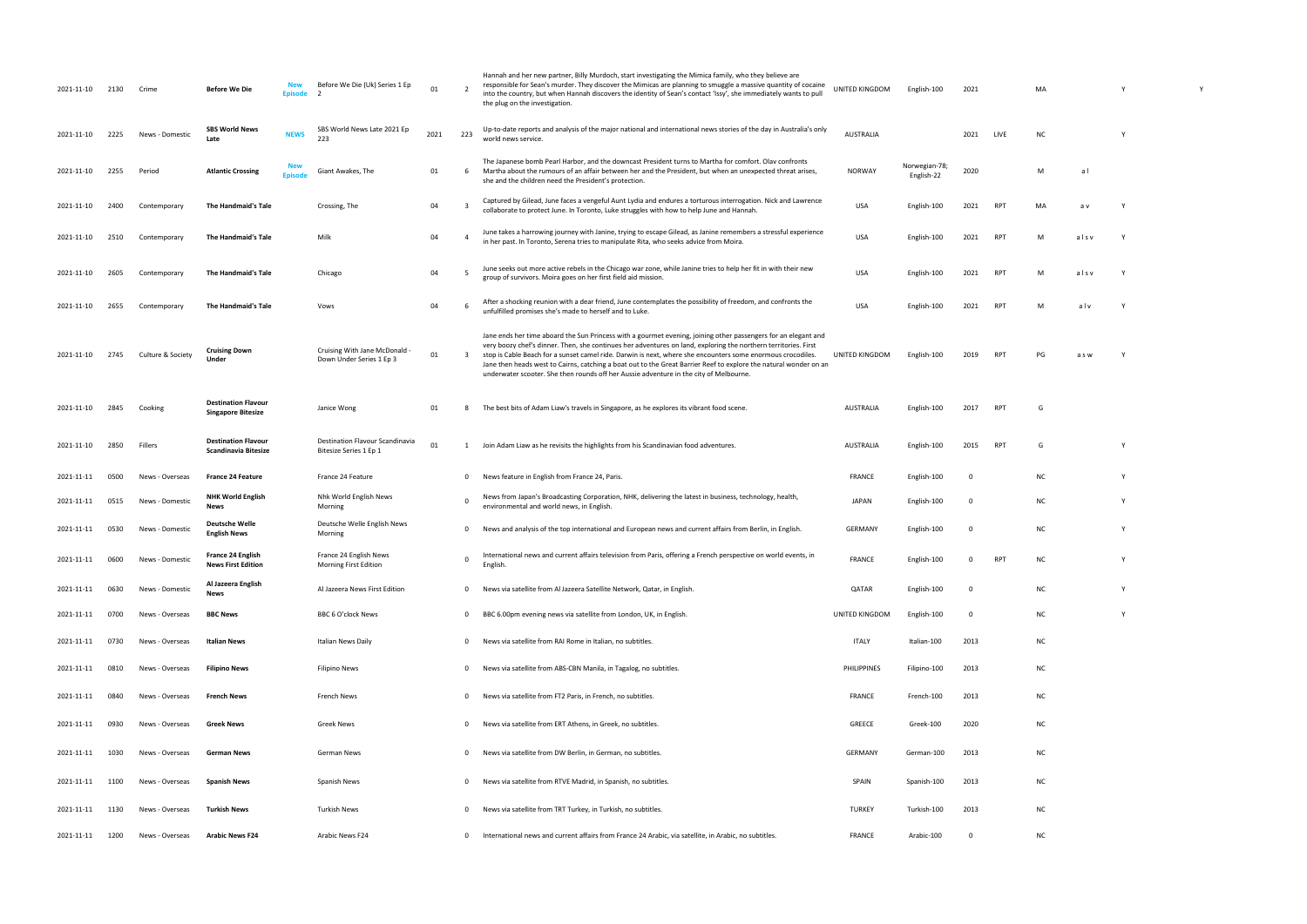| UNITED KINGDOM   | English-100                 | 2021 |            | MA        |       | Υ | Υ |
|------------------|-----------------------------|------|------------|-----------|-------|---|---|
| <b>AUSTRALIA</b> |                             | 2021 | LIVE       | <b>NC</b> |       | Υ |   |
| <b>NORWAY</b>    | Norwegian-78;<br>English-22 | 2020 |            | М         | a l   |   |   |
| <b>USA</b>       | English-100                 | 2021 | <b>RPT</b> | MA        | a v   | Υ |   |
| <b>USA</b>       | English-100                 | 2021 | RPT        | М         | alsv  | Υ |   |
| <b>USA</b>       | English-100                 | 2021 | <b>RPT</b> | М         | alsv  | Υ |   |
| USA              | English-100                 | 2021 | RPT        | М         | alv   | Υ |   |
| UNITED KINGDOM   | English-100                 | 2019 | <b>RPT</b> | PG        | a s w | Υ |   |
| <b>AUSTRALIA</b> | English-100                 | 2017 | <b>RPT</b> | G         |       |   |   |
| <b>AUSTRALIA</b> | English-100                 | 2015 | <b>RPT</b> | G         |       | Υ |   |
| <b>FRANCE</b>    | English-100                 | 0    |            | <b>NC</b> |       | Υ |   |
| JAPAN            | English-100                 | 0    |            | <b>NC</b> |       | Υ |   |
| GERMANY          | English-100                 | 0    |            | NC        |       | Υ |   |
| <b>FRANCE</b>    | English-100                 | 0    | <b>RPT</b> | <b>NC</b> |       | Υ |   |
| QATAR            | English-100                 | 0    |            | <b>NC</b> |       | Υ |   |
| UNITED KINGDOM   | English-100                 | 0    |            | ΝC        |       | Υ |   |
| <b>ITALY</b>     | Italian-100                 | 2013 |            | <b>NC</b> |       |   |   |
| PHILIPPINES      | Filipino-100                | 2013 |            | ΝC        |       |   |   |
| <b>FRANCE</b>    | French-100                  | 2013 |            | <b>NC</b> |       |   |   |
| GREECE           | Greek-100                   | 2020 |            | <b>NC</b> |       |   |   |
| GERMANY          | German-100                  | 2013 |            | <b>NC</b> |       |   |   |
| SPAIN            | Spanish-100                 | 2013 |            | <b>NC</b> |       |   |   |
| TURKEY           | Turkish-100                 | 2013 |            | <b>NC</b> |       |   |   |
| FRANCE           | Arabic-100                  | 0    |            | NC        |       |   |   |

| 2021-11-10 | 2130 | Crime             | <b>Before We Die</b>                                      | <b>New</b><br><b>Episode</b> | Before We Die (Uk) Series 1 Ep<br>$\overline{\phantom{a}}$ | 01   |                | Hannah and her new partner, Billy Murdoch, start investigating the Mimica family, who they believe are<br>responsible for Sean's murder. They discover the Mimicas are planning to smuggle a massive quantity of cocaine<br>into the country, but when Hannah discovers the identity of Sean's contact 'Issy', she immediately wants to pull<br>the plug on the investigation.                                                                                                                                                                                  | UNITED KINGDOM   | English-100                 | 2021     |            | MA        |       |  |
|------------|------|-------------------|-----------------------------------------------------------|------------------------------|------------------------------------------------------------|------|----------------|-----------------------------------------------------------------------------------------------------------------------------------------------------------------------------------------------------------------------------------------------------------------------------------------------------------------------------------------------------------------------------------------------------------------------------------------------------------------------------------------------------------------------------------------------------------------|------------------|-----------------------------|----------|------------|-----------|-------|--|
| 2021-11-10 | 2225 | News - Domestic   | <b>SBS World News</b><br>Late                             | <b>NEWS</b>                  | SBS World News Late 2021 Ep<br>223                         | 2021 | 223            | Up-to-date reports and analysis of the major national and international news stories of the day in Australia's only<br>world news service.                                                                                                                                                                                                                                                                                                                                                                                                                      | <b>AUSTRALIA</b> |                             | 2021     | LIVE       | <b>NC</b> |       |  |
| 2021-11-10 | 2255 | Period            | <b>Atlantic Crossing</b>                                  | <b>New</b><br><b>Episode</b> | Giant Awakes, The                                          | 01   | 6              | The Japanese bomb Pearl Harbor, and the downcast President turns to Martha for comfort. Olav confronts<br>Martha about the rumours of an affair between her and the President, but when an unexpected threat arises,<br>she and the children need the President's protection.                                                                                                                                                                                                                                                                                   | <b>NORWAY</b>    | Norwegian-78;<br>English-22 | 2020     |            | M         | al    |  |
| 2021-11-10 | 2400 | Contemporary      | The Handmaid's Tale                                       |                              | Crossing, The                                              | 04   |                | Captured by Gilead, June faces a vengeful Aunt Lydia and endures a torturous interrogation. Nick and Lawrence<br>collaborate to protect June. In Toronto, Luke struggles with how to help June and Hannah.                                                                                                                                                                                                                                                                                                                                                      | <b>USA</b>       | English-100                 | 2021     | RPT        | MA        | a v   |  |
| 2021-11-10 | 2510 | Contemporary      | The Handmaid's Tale                                       |                              | Milk                                                       | 04   |                | June takes a harrowing journey with Janine, trying to escape Gilead, as Janine remembers a stressful experience<br>in her past. In Toronto, Serena tries to manipulate Rita, who seeks advice from Moira.                                                                                                                                                                                                                                                                                                                                                       | <b>USA</b>       | English-100                 | 2021     | RPT        | М         | alsv  |  |
| 2021-11-10 | 2605 | Contemporary      | The Handmaid's Tale                                       |                              | Chicago                                                    | 04   |                | June seeks out more active rebels in the Chicago war zone, while Janine tries to help her fit in with their new<br>group of survivors. Moira goes on her first field aid mission.                                                                                                                                                                                                                                                                                                                                                                               | <b>USA</b>       | English-100                 | 2021     | <b>RPT</b> | M         | alsv  |  |
| 2021-11-10 | 2655 | Contemporary      | The Handmaid's Tale                                       |                              | Vows                                                       | 04   |                | After a shocking reunion with a dear friend, June contemplates the possibility of freedom, and confronts the<br>unfulfilled promises she's made to herself and to Luke.                                                                                                                                                                                                                                                                                                                                                                                         | <b>USA</b>       | English-100                 | 2021     | <b>RPT</b> | м         | alv   |  |
| 2021-11-10 | 2745 | Culture & Society | <b>Cruising Down</b><br>Under                             |                              | Cruising With Jane McDonald<br>Down Under Series 1 Ep 3    | 01   | 3              | Jane ends her time aboard the Sun Princess with a gourmet evening, joining other passengers for an elegant and<br>very boozy chef's dinner. Then, she continues her adventures on land, exploring the northern territories. First<br>stop is Cable Beach for a sunset camel ride. Darwin is next, where she encounters some enormous crocodiles.<br>Jane then heads west to Cairns, catching a boat out to the Great Barrier Reef to explore the natural wonder on an<br>underwater scooter. She then rounds off her Aussie adventure in the city of Melbourne. | UNITED KINGDOM   | English-100                 | 2019     | <b>RPT</b> | PG        | a s w |  |
| 2021-11-10 | 2845 | Cooking           | <b>Destination Flavour</b><br><b>Singapore Bitesize</b>   |                              | Janice Wong                                                | 01   | 8              | The best bits of Adam Liaw's travels in Singapore, as he explores its vibrant food scene.                                                                                                                                                                                                                                                                                                                                                                                                                                                                       | <b>AUSTRALIA</b> | English-100                 | 2017     | RPT        | G         |       |  |
| 2021-11-10 | 2850 | Fillers           | <b>Destination Flavour</b><br><b>Scandinavia Bitesize</b> |                              | Destination Flavour Scandinavia<br>Bitesize Series 1 Ep 1  | 01   | 1              | Join Adam Liaw as he revisits the highlights from his Scandinavian food adventures.                                                                                                                                                                                                                                                                                                                                                                                                                                                                             | <b>AUSTRALIA</b> | English-100                 | 2015     | RPT        | G         |       |  |
| 2021-11-11 | 0500 | News - Overseas   | <b>France 24 Feature</b>                                  |                              | France 24 Feature                                          |      | $\mathbf{0}$   | News feature in English from France 24, Paris.                                                                                                                                                                                                                                                                                                                                                                                                                                                                                                                  | <b>FRANCE</b>    | English-100                 | 0        |            | NC.       |       |  |
| 2021-11-11 | 0515 | News - Domestic   | <b>NHK World English</b><br>News                          |                              | Nhk World English News<br>Morning                          |      | 0              | News from Japan's Broadcasting Corporation, NHK, delivering the latest in business, technology, health,<br>environmental and world news, in English.                                                                                                                                                                                                                                                                                                                                                                                                            | <b>JAPAN</b>     | English-100                 | 0        |            | NC.       |       |  |
| 2021-11-11 | 0530 | News - Domestic   | <b>Deutsche Welle</b><br><b>English News</b>              |                              | Deutsche Welle English News<br>Morning                     |      | $\mathbf{0}$   | News and analysis of the top international and European news and current affairs from Berlin, in English.                                                                                                                                                                                                                                                                                                                                                                                                                                                       | <b>GERMANY</b>   | English-100                 | $\Omega$ |            | NC.       |       |  |
|            |      |                   | <b>France 24 English</b><br><b>News First Edition</b>     |                              | France 24 English News<br>Morning First Edition            |      |                | International news and current affairs television from Paris, offering a French perspective on world events, in<br>English.                                                                                                                                                                                                                                                                                                                                                                                                                                     | <b>FRANCE</b>    | English-100                 |          |            |           |       |  |
| 2021-11-11 | 0630 | News - Domestic   | Al Jazeera English<br>News                                |                              | Al Jazeera News First Edition                              |      | $\mathbf{0}$   | News via satellite from Al Jazeera Satellite Network, Qatar, in English                                                                                                                                                                                                                                                                                                                                                                                                                                                                                         | QATAR            | English-100                 | 0        |            | NC.       |       |  |
| 2021-11-11 | 0700 | News - Overseas   | <b>BBC News</b>                                           |                              | BBC 6 O'clock News                                         |      | $\overline{0}$ | BBC 6.00pm evening news via satellite from London, UK, in English.                                                                                                                                                                                                                                                                                                                                                                                                                                                                                              | UNITED KINGDOM   | English-100                 | 0        |            | ΝC        |       |  |
| 2021-11-11 | 0730 | News - Overseas   | <b>Italian News</b>                                       |                              | Italian News Daily                                         |      | $\overline{0}$ | News via satellite from RAI Rome in Italian, no subtitles.                                                                                                                                                                                                                                                                                                                                                                                                                                                                                                      | <b>ITALY</b>     | Italian-100                 | 2013     |            | ΝC        |       |  |
| 2021-11-11 | 0810 | News - Overseas   | <b>Filipino News</b>                                      |                              | Filipino News                                              |      |                | 0 News via satellite from ABS-CBN Manila, in Tagalog, no subtitles.                                                                                                                                                                                                                                                                                                                                                                                                                                                                                             | PHILIPPINES      | Filipino-100                | 2013     |            | NC.       |       |  |
| 2021-11-11 | 0840 | News - Overseas   | <b>French News</b>                                        |                              | French News                                                |      |                | 0 News via satellite from FT2 Paris, in French, no subtitles.                                                                                                                                                                                                                                                                                                                                                                                                                                                                                                   | <b>FRANCE</b>    | French-100                  | 2013     |            | ΝC        |       |  |
| 2021-11-11 | 0930 | News - Overseas   | <b>Greek News</b>                                         |                              | Greek News                                                 |      | $\mathbf{0}$   | News via satellite from ERT Athens, in Greek, no subtitles.                                                                                                                                                                                                                                                                                                                                                                                                                                                                                                     | GREECE           | Greek-100                   | 2020     |            | ΝC        |       |  |
| 2021-11-11 | 1030 | News - Overseas   | <b>German News</b>                                        |                              | German News                                                |      | $\mathbf{0}$   | News via satellite from DW Berlin, in German, no subtitles.                                                                                                                                                                                                                                                                                                                                                                                                                                                                                                     | <b>GERMANY</b>   | German-100                  | 2013     |            | ΝC        |       |  |
| 2021-11-11 | 1100 | News - Overseas   | <b>Spanish News</b>                                       |                              | Spanish News                                               |      | $\mathbf{0}$   | News via satellite from RTVE Madrid, in Spanish, no subtitles.                                                                                                                                                                                                                                                                                                                                                                                                                                                                                                  | SPAIN            | Spanish-100                 | 2013     |            | NC        |       |  |
| 2021-11-11 | 1130 | News - Overseas   | Turkish News                                              |                              | <b>Turkish News</b>                                        |      | $\mathbf{0}$   | News via satellite from TRT Turkey, in Turkish, no subtitles.                                                                                                                                                                                                                                                                                                                                                                                                                                                                                                   | <b>TURKEY</b>    | Turkish-100                 | 2013     |            | NC        |       |  |
| 2021-11-11 | 1200 | News - Overseas   | <b>Arabic News F24</b>                                    |                              | Arabic News F24                                            |      | $\mathbf{0}$   | International news and current affairs from France 24 Arabic, via satellite, in Arabic, no subtitles.                                                                                                                                                                                                                                                                                                                                                                                                                                                           | <b>FRANCE</b>    | Arabic-100                  | 0        |            | <b>NC</b> |       |  |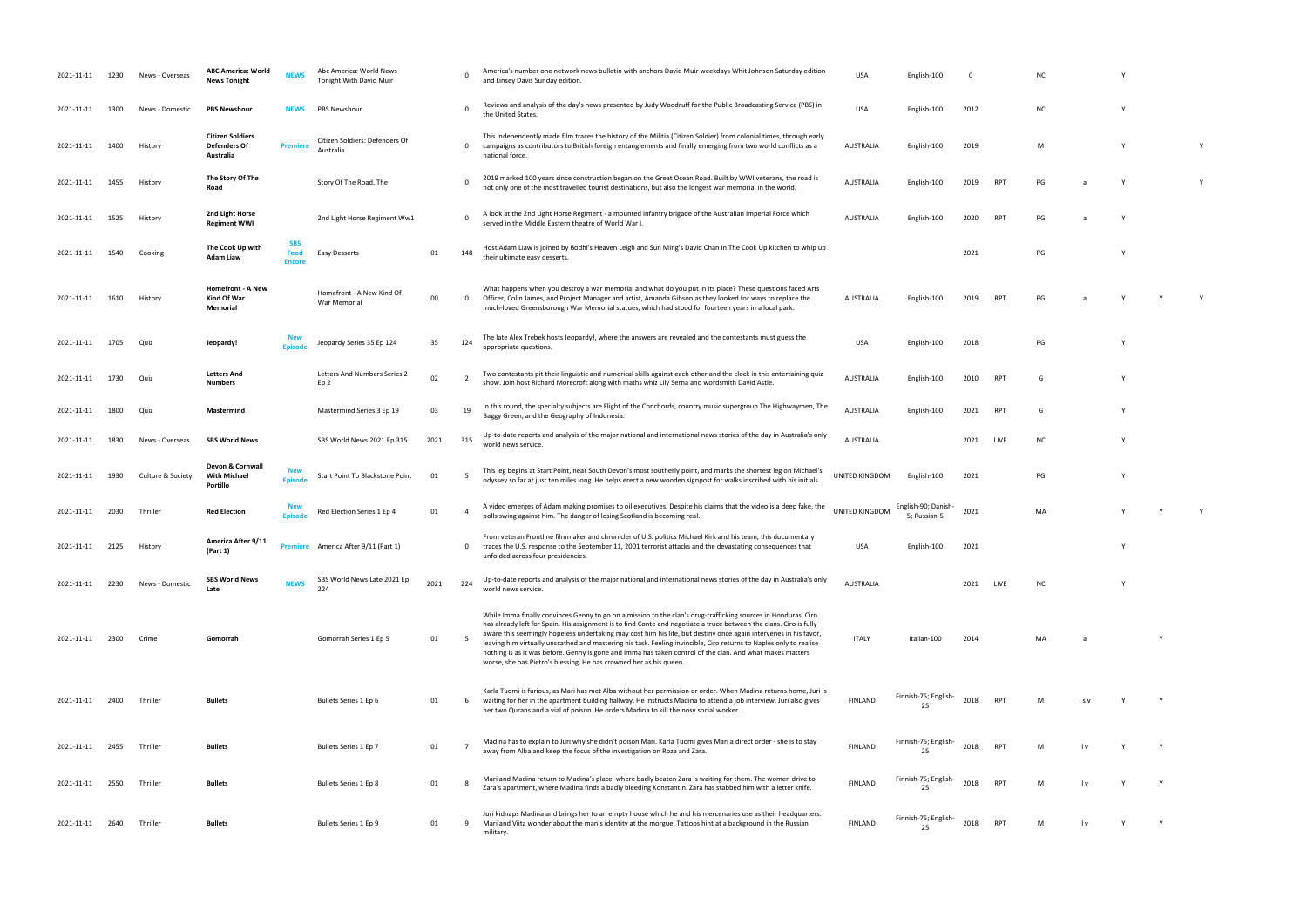| 2021-11-11 | 1230 | News - Overseas   | <b>ABC America: World</b><br><b>News Tonight</b>            | <b>NEWS</b>                         | Abc America: World News<br>Tonight With David Muir |      |                | America's number one network news bulletin with anchors David Muir weekdays Whit Johnson Saturday edition<br>and Linsey Davis Sunday edition.                                                                                                                                                                                                                                                                                                                                                                                                                                                                                                                     | USA              | English-100                         |      |                 | ΝC        |       |          |   |   |
|------------|------|-------------------|-------------------------------------------------------------|-------------------------------------|----------------------------------------------------|------|----------------|-------------------------------------------------------------------------------------------------------------------------------------------------------------------------------------------------------------------------------------------------------------------------------------------------------------------------------------------------------------------------------------------------------------------------------------------------------------------------------------------------------------------------------------------------------------------------------------------------------------------------------------------------------------------|------------------|-------------------------------------|------|-----------------|-----------|-------|----------|---|---|
| 2021-11-11 | 1300 | News - Domestic   | <b>PBS Newshour</b>                                         | <b>NEWS</b>                         | PBS Newshour                                       |      | $\mathbf 0$    | Reviews and analysis of the day's news presented by Judy Woodruff for the Public Broadcasting Service (PBS) in<br>the United States.                                                                                                                                                                                                                                                                                                                                                                                                                                                                                                                              | USA              | English-100                         | 2012 |                 | <b>NC</b> |       |          |   |   |
| 2021-11-11 | 1400 | History           | <b>Citizen Soldiers</b><br><b>Defenders Of</b><br>Australia | Premiere                            | Citizen Soldiers: Defenders Of<br>Australia        |      | $\mathbf{0}$   | This independently made film traces the history of the Militia (Citizen Soldier) from colonial times, through early<br>campaigns as contributors to British foreign entanglements and finally emerging from two world conflicts as a<br>national force.                                                                                                                                                                                                                                                                                                                                                                                                           | <b>AUSTRALIA</b> | English-100                         | 2019 |                 | M         |       |          |   | Y |
| 2021-11-11 | 1455 | History           | The Story Of The<br>Road                                    |                                     | Story Of The Road, The                             |      |                | 2019 marked 100 years since construction began on the Great Ocean Road. Built by WWI veterans, the road is<br>not only one of the most travelled tourist destinations, but also the longest war memorial in the world.                                                                                                                                                                                                                                                                                                                                                                                                                                            | <b>AUSTRALIA</b> | English-100                         | 2019 | <b>RPT</b>      | PG        |       |          |   |   |
| 2021-11-11 | 1525 | History           | 2nd Light Horse<br><b>Regiment WWI</b>                      |                                     | 2nd Light Horse Regiment Ww1                       |      | 0              | A look at the 2nd Light Horse Regiment - a mounted infantry brigade of the Australian Imperial Force which<br>served in the Middle Eastern theatre of World War I.                                                                                                                                                                                                                                                                                                                                                                                                                                                                                                | <b>AUSTRALIA</b> | English-100                         | 2020 | <b>RPT</b>      | PG        |       |          |   |   |
| 2021-11-11 | 1540 | Cooking           | The Cook Up with<br>Adam Liaw                               | <b>SBS</b><br>Food<br><b>Encore</b> | <b>Easy Desserts</b>                               | 01   | 148            | Host Adam Liaw is joined by Bodhi's Heaven Leigh and Sun Ming's David Chan in The Cook Up kitchen to whip up<br>their ultimate easy desserts.                                                                                                                                                                                                                                                                                                                                                                                                                                                                                                                     |                  |                                     | 2021 |                 | PG        |       |          |   |   |
| 2021-11-11 | 1610 | History           | <b>Homefront - A New</b><br>Kind Of War<br>Memorial         |                                     | Homefront - A New Kind Of<br>War Memorial          | 00   | $\mathbf{0}$   | What happens when you destroy a war memorial and what do you put in its place? These questions faced Arts<br>Officer, Colin James, and Project Manager and artist, Amanda Gibson as they looked for ways to replace the<br>much-loved Greensborough War Memorial statues, which had stood for fourteen years in a local park.                                                                                                                                                                                                                                                                                                                                     | <b>AUSTRALIA</b> | English-100                         | 2019 | RP <sub>1</sub> | PG        |       |          |   |   |
| 2021-11-11 | 1705 | Quiz              | Jeopardy!                                                   |                                     | Jeopardy Series 35 Ep 124                          | 35   | 124            | The late Alex Trebek hosts Jeopardy!, where the answers are revealed and the contestants must guess the<br>appropriate questions.                                                                                                                                                                                                                                                                                                                                                                                                                                                                                                                                 | <b>USA</b>       | English-100                         | 2018 |                 | PG        |       |          |   |   |
| 2021-11-11 | 1730 | Quiz              | <b>Letters And</b><br>Numbers                               |                                     | Letters And Numbers Series 2<br>Ep 2               | 02   | $\overline{2}$ | Two contestants pit their linguistic and numerical skills against each other and the clock in this entertaining quiz<br>show. Join host Richard Morecroft along with maths whiz Lily Serna and wordsmith David Astle.                                                                                                                                                                                                                                                                                                                                                                                                                                             | <b>AUSTRALIA</b> | English-100                         | 2010 | <b>RPT</b>      | G         |       |          |   |   |
| 2021-11-11 | 1800 | Quiz              | Mastermind                                                  |                                     | Mastermind Series 3 Ep 19                          | 03   | 19             | In this round, the specialty subjects are Flight of the Conchords, country music supergroup The Highwaymen, The<br>Baggy Green, and the Geography of Indonesia.                                                                                                                                                                                                                                                                                                                                                                                                                                                                                                   | <b>AUSTRALIA</b> | English-100                         | 2021 | RPT             | G         |       |          |   |   |
| 2021-11-11 | 1830 | News - Overseas   | <b>SBS World News</b>                                       |                                     | SBS World News 2021 Ep 315                         | 2021 | 315            | Up-to-date reports and analysis of the major national and international news stories of the day in Australia's only<br>world news service.                                                                                                                                                                                                                                                                                                                                                                                                                                                                                                                        | <b>AUSTRALIA</b> |                                     | 2021 | LIVE            | <b>NC</b> |       |          |   |   |
| 2021-11-11 | 1930 | Culture & Society | Devon & Cornwall<br><b>With Michael</b><br>Portillo         | New<br><b>Episode</b>               | Start Point To Blackstone Point                    | 01   | -5             | This leg begins at Start Point, near South Devon's most southerly point, and marks the shortest leg on Michael's<br>odyssey so far at just ten miles long. He helps erect a new wooden signpost for walks inscribed with his initials.                                                                                                                                                                                                                                                                                                                                                                                                                            | UNITED KINGDOM   | English-100                         | 2021 |                 | PG        |       |          |   |   |
| 2021-11-11 | 2030 | Thriller          | <b>Red Election</b>                                         | New                                 | Red Election Series 1 Ep 4                         | 01   | $\overline{4}$ | A video emerges of Adam making promises to oil executives. Despite his claims that the video is a deep fake, the<br>polls swing against him. The danger of losing Scotland is becoming real                                                                                                                                                                                                                                                                                                                                                                                                                                                                       | UNITED KINGDOM   | English-90; Danish-<br>5; Russian-5 | 2021 |                 | MA        |       |          |   |   |
| 2021-11-11 | 2125 | History           | America After 9/11<br>(Part 1)                              |                                     | America After 9/11 (Part 1)                        |      | $\mathbf{0}$   | From veteran Frontline filmmaker and chronicler of U.S. politics Michael Kirk and his team, this documentary<br>traces the U.S. response to the September 11, 2001 terrorist attacks and the devastating consequences that<br>unfolded across four presidencies.                                                                                                                                                                                                                                                                                                                                                                                                  | <b>USA</b>       | English-100                         | 2021 |                 |           |       |          |   |   |
| 2021-11-11 | 2230 | News - Domestic   | <b>SBS World News</b><br>Late                               | <b>NEWS</b>                         | SBS World News Late 2021 Ep<br>224                 | 2021 | 224            | Up-to-date reports and analysis of the major national and international news stories of the day in Australia's only<br>world news service.                                                                                                                                                                                                                                                                                                                                                                                                                                                                                                                        | <b>AUSTRALIA</b> |                                     | 2021 | LIVE            | NC        |       | <b>V</b> |   |   |
| 2021-11-11 | 2300 | Crime             | Gomorrah                                                    |                                     | Gomorrah Series 1 Ep 5                             | 01   | 5              | While Imma finally convinces Genny to go on a mission to the clan's drug-trafficking sources in Honduras, Ciro<br>has already left for Spain. His assignment is to find Conte and negotiate a truce between the clans. Ciro is fully<br>aware this seemingly hopeless undertaking may cost him his life, but destiny once again intervenes in his favor,<br>leaving him virtually unscathed and mastering his task. Feeling invincible, Ciro returns to Naples only to realise<br>nothing is as it was before. Genny is gone and Imma has taken control of the clan. And what makes matters<br>worse, she has Pietro's blessing. He has crowned her as his queen. | <b>ITALY</b>     | Italian-100                         | 2014 |                 | MA        |       |          | Y |   |
| 2021-11-11 | 2400 | Thriller          | <b>Bullets</b>                                              |                                     | Bullets Series 1 Ep 6                              | 01   |                | Karla Tuomi is furious, as Mari has met Alba without her permission or order. When Madina returns home, Juri is<br>6 waiting for her in the apartment building hallway. He instructs Madina to attend a job interview. Juri also gives<br>her two Qurans and a vial of poison. He orders Madina to kill the nosy social worker.                                                                                                                                                                                                                                                                                                                                   | FINLAND          | Finnish-75; English-<br>25          | 2018 | <b>RPT</b>      | M         | l s v |          | Y |   |
| 2021-11-11 | 2455 | Thriller          | Bullets                                                     |                                     | Bullets Series 1 Ep 7                              | 01   | $\overline{7}$ | Madina has to explain to Juri why she didn't poison Mari. Karla Tuomi gives Mari a direct order - she is to stay<br>away from Alba and keep the focus of the investigation on Roza and Zara.                                                                                                                                                                                                                                                                                                                                                                                                                                                                      | FINLAND          | Finnish-75; English-<br>25          | 2018 | <b>RPT</b>      | M         | 1 v   |          | Y |   |
| 2021-11-11 | 2550 | Thriller          | Bullets                                                     |                                     | Bullets Series 1 Ep 8                              | 01   |                | Mari and Madina return to Madina's place, where badly beaten Zara is waiting for them. The women drive to<br>Zara's apartment, where Madina finds a badly bleeding Konstantin. Zara has stabbed him with a letter knife.                                                                                                                                                                                                                                                                                                                                                                                                                                          | FINLAND          | Finnish-75; English-<br>25          | 2018 | <b>RPT</b>      | M         | l v   |          |   |   |
| 2021-11-11 | 2640 | Thriller          | Bullets                                                     |                                     | Bullets Series 1 Ep 9                              | 01   | 9              | Juri kidnaps Madina and brings her to an empty house which he and his mercenaries use as their headquarters.<br>Mari and Viita wonder about the man's identity at the morgue. Tattoos hint at a background in the Russian<br>military.                                                                                                                                                                                                                                                                                                                                                                                                                            | FINLAND          | Finnish-75; English-<br>25          | 2018 | <b>RPT</b>      | M         | l v   |          | Y |   |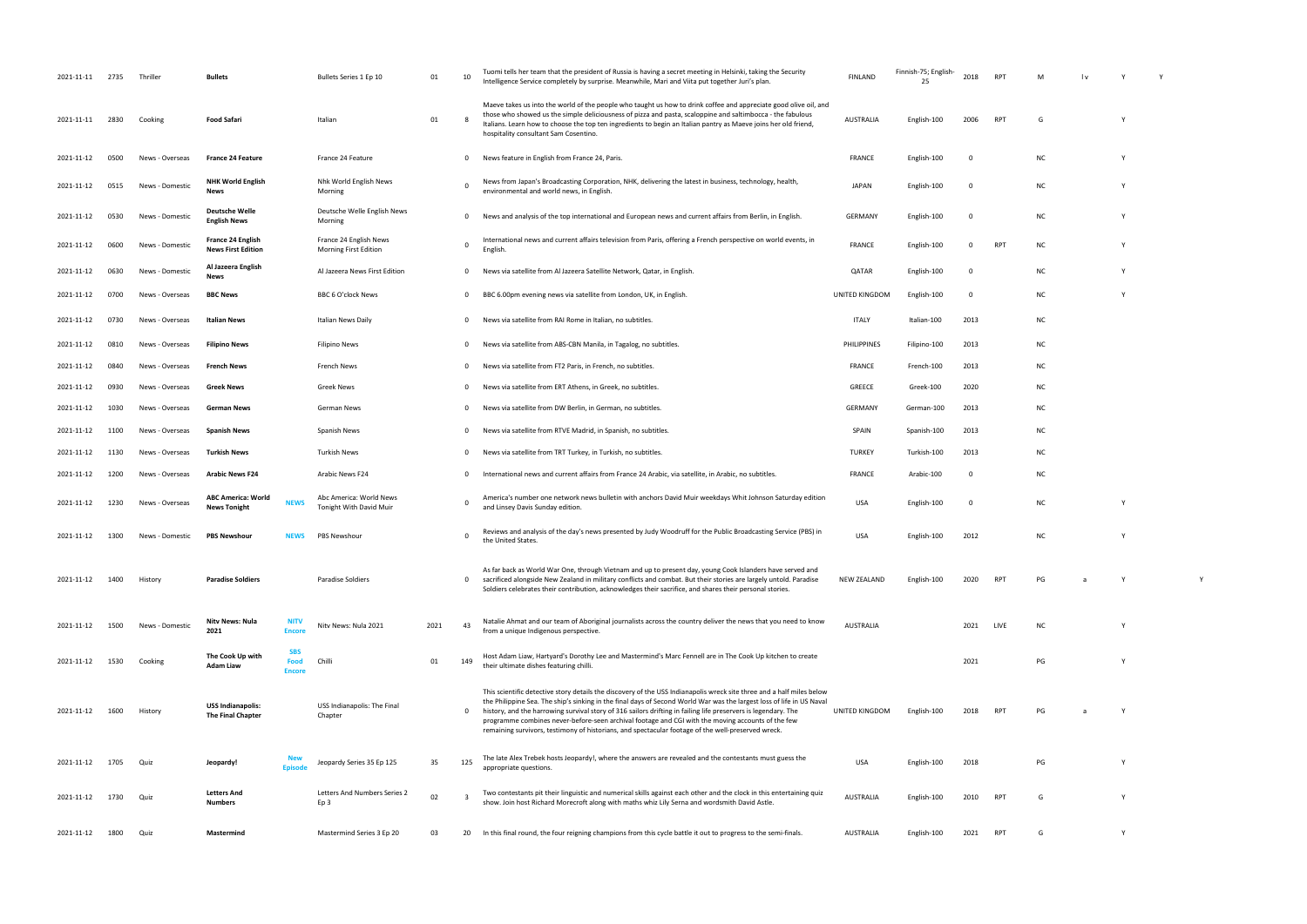| 2021-11-11 2735 |      | Thriller        | Bullets                                              |                                     | Bullets Series 1 Ep 10                             | 01   | 10           | Tuomi tells her team that the president of Russia is having a secret meeting in Helsinki, taking the Security<br>Intelligence Service completely by surprise. Meanwhile, Mari and Viita put together Juri's plan.                                                                                                                                                                                                                                                                                                                                                           | <b>FINLAND</b>   | Finnish-75; English-<br>25 | 2018        | <b>RPT</b> | M         |   |  |
|-----------------|------|-----------------|------------------------------------------------------|-------------------------------------|----------------------------------------------------|------|--------------|-----------------------------------------------------------------------------------------------------------------------------------------------------------------------------------------------------------------------------------------------------------------------------------------------------------------------------------------------------------------------------------------------------------------------------------------------------------------------------------------------------------------------------------------------------------------------------|------------------|----------------------------|-------------|------------|-----------|---|--|
| 2021-11-11      | 2830 | Cooking         | Food Safari                                          |                                     | Italian                                            | 01   |              | Maeve takes us into the world of the people who taught us how to drink coffee and appreciate good olive oil, and<br>those who showed us the simple deliciousness of pizza and pasta, scaloppine and saltimbocca - the fabulous<br>Italians. Learn how to choose the top ten ingredients to begin an Italian pantry as Maeve joins her old friend,<br>hospitality consultant Sam Cosentino.                                                                                                                                                                                  | <b>AUSTRALIA</b> | English-100                | 2006        | RPT        | G         |   |  |
| 2021-11-12      | 0500 | News - Overseas | <b>France 24 Feature</b>                             |                                     | France 24 Feature                                  |      | $\mathbf{0}$ | News feature in English from France 24, Paris.                                                                                                                                                                                                                                                                                                                                                                                                                                                                                                                              | <b>FRANCE</b>    | English-100                | $\mathbf 0$ |            | <b>NC</b> | Y |  |
| 2021-11-12      | 0515 | News - Domestic | <b>NHK World English</b><br>News                     |                                     | Nhk World English News<br>Morning                  |      |              | News from Japan's Broadcasting Corporation, NHK, delivering the latest in business, technology, health,<br>environmental and world news, in English.                                                                                                                                                                                                                                                                                                                                                                                                                        | <b>JAPAN</b>     | English-100                | - 0         |            | <b>NC</b> | Y |  |
| 2021-11-12      | 0530 | News - Domestic | <b>Deutsche Welle</b><br><b>English News</b>         |                                     | Deutsche Welle English News<br>Morning             |      | $\mathbf{0}$ | News and analysis of the top international and European news and current affairs from Berlin, in English.                                                                                                                                                                                                                                                                                                                                                                                                                                                                   | <b>GERMANY</b>   | English-100                | 0           |            | <b>NC</b> |   |  |
| 2021-11-12      | 0600 | News - Domestic | France 24 English<br><b>News First Edition</b>       |                                     | France 24 English News<br>Morning First Edition    |      | 0            | International news and current affairs television from Paris, offering a French perspective on world events, in<br>English.                                                                                                                                                                                                                                                                                                                                                                                                                                                 | <b>FRANCE</b>    | English-100                | 0           | RPT        | NC.       | Y |  |
| 2021-11-12      | 0630 | News - Domestic | Al Jazeera English<br>News                           |                                     | Al Jazeera News First Edition                      |      | 0            | News via satellite from Al Jazeera Satellite Network, Qatar, in English                                                                                                                                                                                                                                                                                                                                                                                                                                                                                                     | QATAR            | English-100                | $\mathbf 0$ |            | NC.       |   |  |
| 2021-11-12      | 0700 | News - Overseas | <b>BBC News</b>                                      |                                     | BBC 6 O'clock News                                 |      | $\mathbf{0}$ | BBC 6.00pm evening news via satellite from London, UK, in English.                                                                                                                                                                                                                                                                                                                                                                                                                                                                                                          | UNITED KINGDOM   | English-100                | $\mathbf 0$ |            | <b>NC</b> | Y |  |
| 2021-11-12      | 0730 | News - Overseas | Italian News                                         |                                     | <b>Italian News Daily</b>                          |      | $\mathbf{0}$ | News via satellite from RAI Rome in Italian, no subtitles.                                                                                                                                                                                                                                                                                                                                                                                                                                                                                                                  | ITALY            | Italian-100                | 2013        |            | <b>NC</b> |   |  |
| 2021-11-12      | 0810 | News - Overseas | <b>Filipino News</b>                                 |                                     | <b>Filipino News</b>                               |      | 0            | News via satellite from ABS-CBN Manila, in Tagalog, no subtitles.                                                                                                                                                                                                                                                                                                                                                                                                                                                                                                           | PHILIPPINES      | Filipino-100               | 2013        |            | NC.       |   |  |
| 2021-11-12      | 0840 | News - Overseas | French News                                          |                                     | French News                                        |      | $\mathbf{0}$ | News via satellite from FT2 Paris, in French, no subtitles.                                                                                                                                                                                                                                                                                                                                                                                                                                                                                                                 | <b>FRANCE</b>    | French-100                 | 2013        |            | <b>NC</b> |   |  |
| 2021-11-12      | 0930 | News - Overseas | <b>Greek News</b>                                    |                                     | Greek News                                         |      | 0            | News via satellite from ERT Athens, in Greek, no subtitles.                                                                                                                                                                                                                                                                                                                                                                                                                                                                                                                 | GREECE           | Greek-100                  | 2020        |            | NC.       |   |  |
| 2021-11-12      | 1030 | News - Overseas | <b>German News</b>                                   |                                     | German News                                        |      | 0            | News via satellite from DW Berlin, in German, no subtitles.                                                                                                                                                                                                                                                                                                                                                                                                                                                                                                                 | <b>GERMANY</b>   | German-100                 | 2013        |            | NC.       |   |  |
| 2021-11-12      | 1100 | News - Overseas | <b>Spanish News</b>                                  |                                     | Spanish News                                       |      | 0            | News via satellite from RTVE Madrid, in Spanish, no subtitles.                                                                                                                                                                                                                                                                                                                                                                                                                                                                                                              | SPAIN            | Spanish-100                | 2013        |            | NC.       |   |  |
| 2021-11-12      | 1130 | News - Overseas | Turkish News                                         |                                     | <b>Turkish News</b>                                |      | $\mathbf{0}$ | News via satellite from TRT Turkey, in Turkish, no subtitles.                                                                                                                                                                                                                                                                                                                                                                                                                                                                                                               | <b>TURKEY</b>    | Turkish-100                | 2013        |            | NC.       |   |  |
| 2021-11-12      | 1200 | News - Overseas | <b>Arabic News F24</b>                               |                                     | Arabic News F24                                    |      | 0            | International news and current affairs from France 24 Arabic, via satellite, in Arabic, no subtitles.                                                                                                                                                                                                                                                                                                                                                                                                                                                                       | <b>FRANCE</b>    | Arabic-100                 | 0           |            | <b>NC</b> |   |  |
| 2021-11-12      | 1230 | News - Overseas | <b>ABC America: World</b><br><b>News Tonight</b>     | <b>NEWS</b>                         | Abc America: World News<br>Tonight With David Muir |      |              | America's number one network news bulletin with anchors David Muir weekdays Whit Johnson Saturday edition<br>and Linsey Davis Sunday edition.                                                                                                                                                                                                                                                                                                                                                                                                                               | <b>USA</b>       | English-100                | - 0         |            | <b>NC</b> | Y |  |
| 2021-11-12      | 1300 | News - Domestic | <b>PBS Newshour</b>                                  | <b>NEWS</b>                         | PBS Newshour                                       |      | 0            | Reviews and analysis of the day's news presented by Judy Woodruff for the Public Broadcasting Service (PBS) in<br>the United States.                                                                                                                                                                                                                                                                                                                                                                                                                                        | <b>USA</b>       | English-100                | 2012        |            | <b>NC</b> | Y |  |
| 2021-11-12      | 1400 | History         | <b>Paradise Soldiers</b>                             |                                     | Paradise Soldiers                                  |      | $\mathbf{0}$ | As far back as World War One, through Vietnam and up to present day, young Cook Islanders have served and<br>sacrificed alongside New Zealand in military conflicts and combat. But their stories are largely untold. Paradise<br>Soldiers celebrates their contribution, acknowledges their sacrifice, and shares their personal stories.                                                                                                                                                                                                                                  | NEW ZEALAND      | English-100                | 2020        | RPT        | PG        | Y |  |
| 2021-11-12      | 1500 | News - Domestic | Nitv News: Nula<br>2021                              | <b>NITV</b><br><b>Encore</b>        | Nitv News: Nula 2021                               | 2021 | 43           | Natalie Ahmat and our team of Aboriginal journalists across the country deliver the news that you need to know<br>from a unique Indigenous perspective.                                                                                                                                                                                                                                                                                                                                                                                                                     | AUSTRALIA        |                            | 2021        | LIVE       | <b>NC</b> | Y |  |
| 2021-11-12      | 1530 | Cooking         | The Cook Up with<br><b>Adam Liaw</b>                 | <b>SBS</b><br>Food<br><b>Encore</b> | Chilli                                             | 01   | 149          | Host Adam Liaw, Hartyard's Dorothy Lee and Mastermind's Marc Fennell are in The Cook Up kitchen to create<br>their ultimate dishes featuring chilli.                                                                                                                                                                                                                                                                                                                                                                                                                        |                  |                            | 2021        |            | PG        | Y |  |
| 2021-11-12      | 1600 | History         | <b>USS Indianapolis:</b><br><b>The Final Chapter</b> |                                     | USS Indianapolis: The Final<br>Chapter             |      | 0            | This scientific detective story details the discovery of the USS Indianapolis wreck site three and a half miles below<br>the Philippine Sea. The ship's sinking in the final days of Second World War was the largest loss of life in US Naval<br>history, and the harrowing survival story of 316 sailors drifting in failing life preservers is legendary. The<br>programme combines never-before-seen archival footage and CGI with the moving accounts of the few<br>remaining survivors, testimony of historians, and spectacular footage of the well-preserved wreck. | UNITED KINGDOM   | English-100                | 2018        | RPT        | PG        | Y |  |
| 2021-11-12      | 1705 | Quiz            | Jeopardy!                                            |                                     | Jeopardy Series 35 Ep 125                          | 35   | 125          | The late Alex Trebek hosts Jeopardy!, where the answers are revealed and the contestants must guess the<br>appropriate questions.                                                                                                                                                                                                                                                                                                                                                                                                                                           | <b>USA</b>       | English-100                | 2018        |            | PG        | Y |  |
| 2021-11-12      | 1730 | Quiz            | <b>Letters And</b><br><b>Numbers</b>                 |                                     | Letters And Numbers Series 2<br>Ep 3               | 02   | - 3          | Two contestants pit their linguistic and numerical skills against each other and the clock in this entertaining quiz<br>show. Join host Richard Morecroft along with maths whiz Lily Serna and wordsmith David Astle.                                                                                                                                                                                                                                                                                                                                                       | AUSTRALIA        | English-100                | 2010        | RPT        | G         | Y |  |
| 2021-11-12      | 1800 | Quiz            | Mastermind                                           |                                     | Mastermind Series 3 Ep 20                          | 03   | 20           | In this final round, the four reigning champions from this cycle battle it out to progress to the semi-finals.                                                                                                                                                                                                                                                                                                                                                                                                                                                              | AUSTRALIA        | English-100                | 2021        | RPT        | G         | Y |  |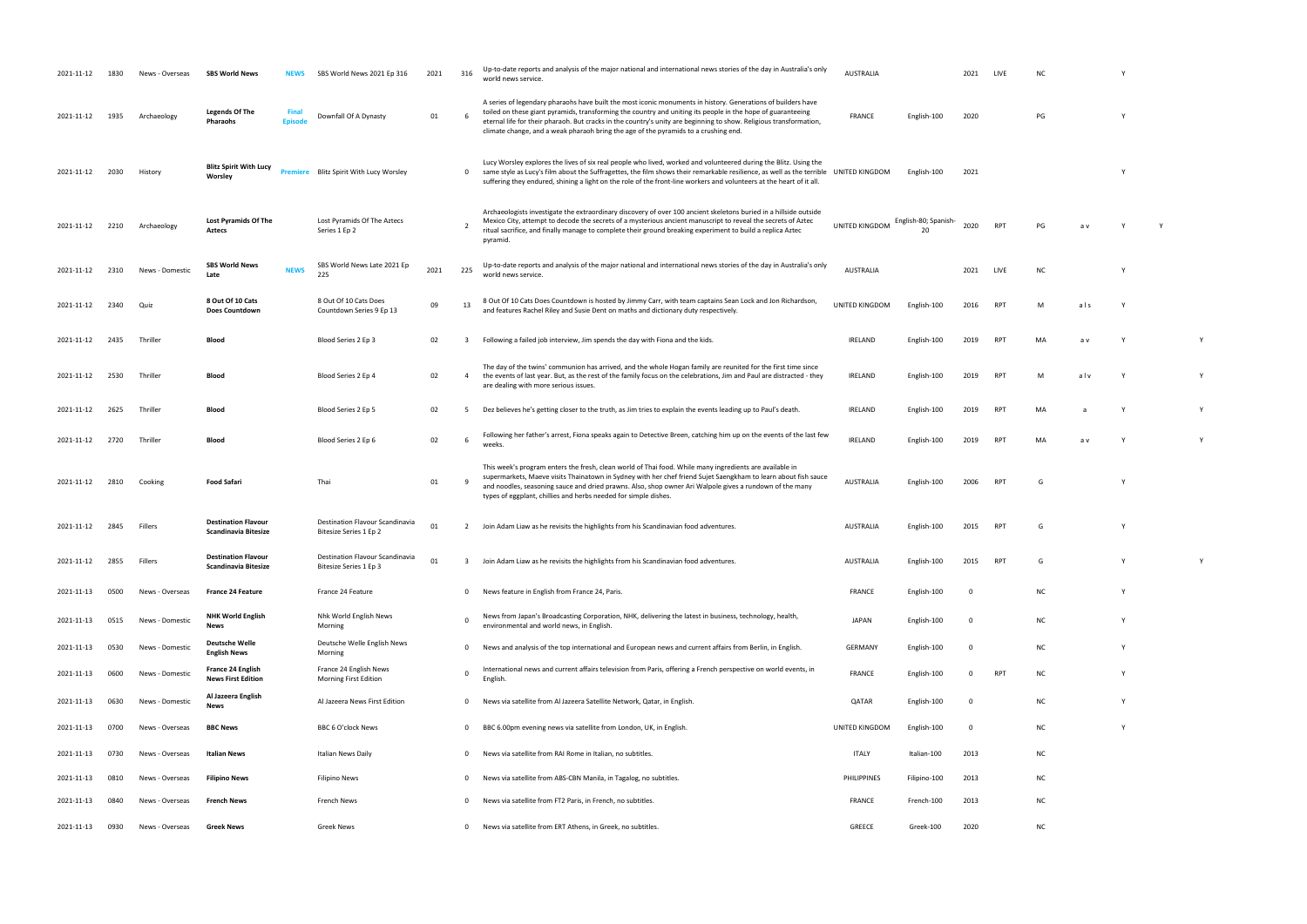| 2021-11-12 |      | News - Overseas | <b>SBS World News</b>                                     | <b>NEWS</b>             | SBS World News 2021 Ep 316                                | 2021 | 316            | Up-to-date reports and analysis of the major national and international news stories of the day in Australia's only<br>world news service.                                                                                                                                                                                                                                                                                               | <b>AUSTRALIA</b> |                           | 2021     |                 |           |     |   |  |
|------------|------|-----------------|-----------------------------------------------------------|-------------------------|-----------------------------------------------------------|------|----------------|------------------------------------------------------------------------------------------------------------------------------------------------------------------------------------------------------------------------------------------------------------------------------------------------------------------------------------------------------------------------------------------------------------------------------------------|------------------|---------------------------|----------|-----------------|-----------|-----|---|--|
| 2021-11-12 | 1935 | Archaeology     | <b>Legends Of The</b><br>Pharaohs                         | <b>Final</b><br>Enisode | Downfall Of A Dynasty                                     | 01   |                | A series of legendary pharaohs have built the most iconic monuments in history. Generations of builders have<br>toiled on these giant pyramids, transforming the country and uniting its people in the hope of guaranteeing<br>eternal life for their pharaoh. But cracks in the country's unity are beginning to show. Religious transformation,<br>climate change, and a weak pharaoh bring the age of the pyramids to a crushing end. | FRANCE           | English-100               | 2020     |                 | PG        |     |   |  |
| 2021-11-12 | 2030 | History         | <b>Blitz Spirit With Lucy</b><br>Worsley                  | emiere                  | Blitz Spirit With Lucy Worsley                            |      | $\mathbf{0}$   | Lucy Worsley explores the lives of six real people who lived, worked and volunteered during the Blitz. Using the<br>same style as Lucy's film about the Suffragettes, the film shows their remarkable resilience, as well as the terrible UNITED KINGDOM<br>suffering they endured, shining a light on the role of the front-line workers and volunteers at the heart of it all.                                                         |                  | English-100               | 2021     |                 |           |     |   |  |
| 2021-11-12 | 2210 | Archaeology     | <b>Lost Pyramids Of The</b><br>Aztecs                     |                         | Lost Pyramids Of The Aztecs<br>Series 1 Ep 2              |      |                | Archaeologists investigate the extraordinary discovery of over 100 ancient skeletons buried in a hillside outside<br>Mexico City, attempt to decode the secrets of a mysterious ancient manuscript to reveal the secrets of Aztec<br>ritual sacrifice, and finally manage to complete their ground breaking experiment to build a replica Aztec<br>pyramid.                                                                              | UNITED KINGDOM   | English-80; Spanish<br>20 | 2020     | <b>RPT</b>      | PG        | a v |   |  |
| 2021-11-12 | 2310 | News - Domestic | <b>SBS World News</b><br>Late                             | <b>NEWS</b>             | SBS World News Late 2021 Ep<br>225                        | 2021 | 225            | Up-to-date reports and analysis of the major national and international news stories of the day in Australia's only<br>world news service.                                                                                                                                                                                                                                                                                               | <b>AUSTRALIA</b> |                           | 2021     | LIVE            | <b>NC</b> |     |   |  |
| 2021-11-12 | 2340 | Quiz            | 8 Out Of 10 Cats<br>Does Countdown                        |                         | 8 Out Of 10 Cats Does<br>Countdown Series 9 Ep 13         | 09   | 13             | 8 Out Of 10 Cats Does Countdown is hosted by Jimmy Carr, with team captains Sean Lock and Jon Richardson,<br>and features Rachel Riley and Susie Dent on maths and dictionary duty respectively.                                                                                                                                                                                                                                         | UNITED KINGDOM   | English-100               | 2016     | <b>RPT</b>      |           | als |   |  |
| 2021-11-12 | 2435 | Thriller        | Blood                                                     |                         | Blood Series 2 Ep 3                                       | 02   |                | Following a failed job interview, Jim spends the day with Fiona and the kids.                                                                                                                                                                                                                                                                                                                                                            | IRELAND          | English-100               | 2019     | <b>RPT</b>      | MA        | a v |   |  |
| 2021-11-12 | 2530 | Thriller        | Blood                                                     |                         | Blood Series 2 Ep 4                                       | 02   | $\overline{4}$ | The day of the twins' communion has arrived, and the whole Hogan family are reunited for the first time since<br>the events of last year. But, as the rest of the family focus on the celebrations, Jim and Paul are distracted - they<br>are dealing with more serious issues.                                                                                                                                                          | <b>IRELAND</b>   | English-100               | 2019     | RP <sup>-</sup> | M         | alv |   |  |
| 2021-11-12 | 2625 | Thriller        | Blood                                                     |                         | Blood Series 2 Ep 5                                       | 02   |                | Dez believes he's getting closer to the truth, as Jim tries to explain the events leading up to Paul's death.                                                                                                                                                                                                                                                                                                                            | IRELAND          | English-100               | 2019     | <b>RPT</b>      | MA        |     |   |  |
| 2021-11-12 | 2720 | Thriller        | Blood                                                     |                         | Blood Series 2 Ep 6                                       | 02   |                | Following her father's arrest, Fiona speaks again to Detective Breen, catching him up on the events of the last few                                                                                                                                                                                                                                                                                                                      | IRELAND          | English-100               | 2019     | RP <sup>-</sup> | MA        | a v |   |  |
| 2021-11-12 | 2810 | Cooking         | <b>Food Safari</b>                                        |                         | Thai                                                      | 01   |                | This week's program enters the fresh, clean world of Thai food. While many ingredients are available in<br>supermarkets, Maeve visits Thainatown in Sydney with her chef friend Sujet Saengkham to learn about fish sauce<br>and noodles, seasoning sauce and dried prawns. Also, shop owner Ari Walpole gives a rundown of the many<br>types of eggplant, chillies and herbs needed for simple dishes.                                  | <b>AUSTRALIA</b> | English-100               | 2006     |                 |           |     |   |  |
| 2021-11-12 | 2845 | Fillers         | <b>Destination Flavour</b><br><b>Scandinavia Bitesize</b> |                         | Destination Flavour Scandinavia<br>Bitesize Series 1 Ep 2 | 01   |                | Join Adam Liaw as he revisits the highlights from his Scandinavian food adventures.                                                                                                                                                                                                                                                                                                                                                      | <b>AUSTRALIA</b> | English-100               | 2015     | <b>RPT</b>      |           |     |   |  |
| 2021-11-12 | 2855 | Fillers         | <b>Destination Flavour</b><br><b>Scandinavia Bitesize</b> |                         | Destination Flavour Scandinavia<br>Bitesize Series 1 Ep 3 | 01   |                | Join Adam Liaw as he revisits the highlights from his Scandinavian food adventures.                                                                                                                                                                                                                                                                                                                                                      | <b>AUSTRALIA</b> | English-100               | 2015     | <b>RPT</b>      | G         |     |   |  |
| 2021-11-13 | 0500 | News - Overseas | <b>France 24 Feature</b>                                  |                         | France 24 Feature                                         |      | $\mathbf{0}$   | News feature in English from France 24, Paris.                                                                                                                                                                                                                                                                                                                                                                                           | FRANCE           | English-100               | - 0      |                 | ΝC        |     | Y |  |
| 2021-11-13 | 0515 | News - Domestic | <b>NHK World English</b><br><b>News</b>                   |                         | Nhk World English News<br>Morning                         |      |                | News from Japan's Broadcasting Corporation, NHK, delivering the latest in business, technology, health,<br>environmental and world news, in English.                                                                                                                                                                                                                                                                                     | JAPAN            | English-100               | $\Omega$ |                 | ΝC        |     | Y |  |
| 2021-11-13 | 0530 | News - Domestic | <b>Deutsche Welle</b><br><b>English News</b>              |                         | Deutsche Welle English News<br>Morning                    |      | $\mathbf 0$    | News and analysis of the top international and European news and current affairs from Berlin, in English.                                                                                                                                                                                                                                                                                                                                | GERMANY          | English-100               | $\Omega$ |                 | <b>NC</b> |     | Y |  |
| 2021-11-13 | 0600 | News - Domestic | France 24 English<br><b>News First Edition</b>            |                         | France 24 English News<br>Morning First Edition           |      |                | International news and current affairs television from Paris, offering a French perspective on world events, in<br>English.                                                                                                                                                                                                                                                                                                              | FRANCE           | English-100               | $\Omega$ | <b>RPT</b>      | ΝC        |     | Y |  |
| 2021-11-13 | 0630 | News - Domestic | Al Jazeera English<br>News                                |                         | Al Jazeera News First Edition                             |      | $\Omega$       | News via satellite from Al Jazeera Satellite Network, Qatar, in English.                                                                                                                                                                                                                                                                                                                                                                 | QATAR            | English-100               | $\Omega$ |                 | <b>NC</b> |     | Y |  |
| 2021-11-13 | 0700 | News - Overseas | <b>BBC News</b>                                           |                         | BBC 6 O'clock News                                        |      | $\Omega$       | BBC 6.00pm evening news via satellite from London, UK, in English.                                                                                                                                                                                                                                                                                                                                                                       | UNITED KINGDOM   | English-100               | $\Omega$ |                 | <b>NC</b> |     |   |  |
| 2021-11-13 | 0730 | News - Overseas | Italian News                                              |                         | Italian News Daily                                        |      | $\Omega$       | News via satellite from RAI Rome in Italian, no subtitles.                                                                                                                                                                                                                                                                                                                                                                               | <b>ITALY</b>     | Italian-100               | 2013     |                 | NC        |     |   |  |
| 2021-11-13 | 0810 | News - Overseas | <b>Filipino News</b>                                      |                         | Filipino News                                             |      |                | News via satellite from ABS-CBN Manila, in Tagalog, no subtitles.                                                                                                                                                                                                                                                                                                                                                                        | PHILIPPINES      | Filipino-100              | 2013     |                 | <b>NC</b> |     |   |  |
| 2021-11-13 | 0840 | News - Overseas | <b>French News</b>                                        |                         | French News                                               |      |                | News via satellite from FT2 Paris, in French, no subtitles.                                                                                                                                                                                                                                                                                                                                                                              | <b>FRANCE</b>    | French-100                | 2013     |                 | <b>NC</b> |     |   |  |
| 2021-11-13 | 0930 | News - Overseas | <b>Greek News</b>                                         |                         | Greek News                                                |      | $\mathbf{0}$   | News via satellite from ERT Athens, in Greek, no subtitles.                                                                                                                                                                                                                                                                                                                                                                              | GREECE           | Greek-100                 | 2020     |                 | NC        |     |   |  |